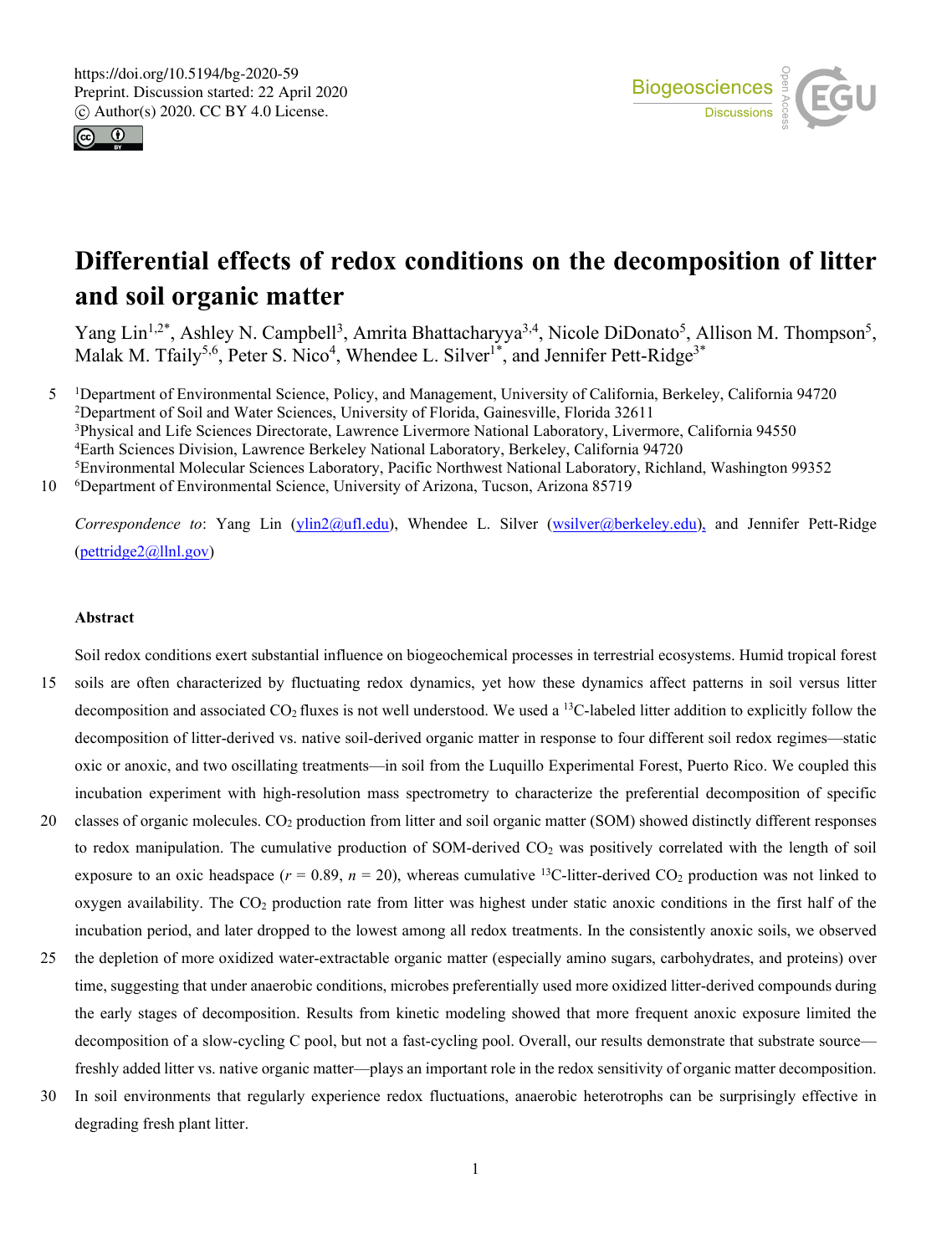



# **Differential effects of redox conditions on the decomposition of litter and soil organic matter**

Yang Lin<sup>1,2\*</sup>, Ashley N. Campbell<sup>3</sup>, Amrita Bhattacharyya<sup>3,4</sup>, Nicole DiDonato<sup>5</sup>, Allison M. Thompson<sup>5</sup>, Malak M. Tfaily<sup>5,6</sup>, Peter S. Nico<sup>4</sup>, Whendee L. Silver<sup>1\*</sup>, and Jennifer Pett-Ridge<sup>3\*</sup>

5 Department of Environmental Science, Policy, and Management, University of California, Berkeley, California 94720 Department of Soil and Water Sciences, University of Florida, Gainesville, Florida 32611 Physical and Life Sciences Directorate, Lawrence Livermore National Laboratory, Livermore, California 94550 Earth Sciences Division, Lawrence Berkeley National Laboratory, Berkeley, California 94720 Environmental Molecular Sciences Laboratory, Pacific Northwest National Laboratory, Richland, Washington 99352

 $10<sup>°</sup>$ Department of Environmental Science, University of Arizona, Tucson, Arizona 85719

*Correspondence to*: Yang Lin (ylin2@ufl.edu), Whendee L. Silver (wsilver@berkeley.edu), and Jennifer Pett-Ridge (pettridge2@llnl.gov)

## **Abstract**

Soil redox conditions exert substantial influence on biogeochemical processes in terrestrial ecosystems. Humid tropical forest

- 15 soils are often characterized by fluctuating redox dynamics, yet how these dynamics affect patterns in soil versus litter decomposition and associated  $CO_2$  fluxes is not well understood. We used a <sup>13</sup>C-labeled litter addition to explicitly follow the decomposition of litter-derived vs. native soil-derived organic matter in response to four different soil redox regimes—static oxic or anoxic, and two oscillating treatments—in soil from the Luquillo Experimental Forest, Puerto Rico. We coupled this incubation experiment with high-resolution mass spectrometry to characterize the preferential decomposition of specific
- 20 classes of organic molecules. CO2 production from litter and soil organic matter (SOM) showed distinctly different responses to redox manipulation. The cumulative production of SOM-derived CO2 was positively correlated with the length of soil exposure to an oxic headspace ( $r = 0.89$ ,  $n = 20$ ), whereas cumulative <sup>13</sup>C-litter-derived CO<sub>2</sub> production was not linked to oxygen availability. The  $CO<sub>2</sub>$  production rate from litter was highest under static anoxic conditions in the first half of the incubation period, and later dropped to the lowest among all redox treatments. In the consistently anoxic soils, we observed
- 25 the depletion of more oxidized water-extractable organic matter (especially amino sugars, carbohydrates, and proteins) over time, suggesting that under anaerobic conditions, microbes preferentially used more oxidized litter-derived compounds during the early stages of decomposition. Results from kinetic modeling showed that more frequent anoxic exposure limited the decomposition of a slow-cycling C pool, but not a fast-cycling pool. Overall, our results demonstrate that substrate source freshly added litter vs. native organic matter—plays an important role in the redox sensitivity of organic matter decomposition.
- 30 In soil environments that regularly experience redox fluctuations, anaerobic heterotrophs can be surprisingly effective in degrading fresh plant litter.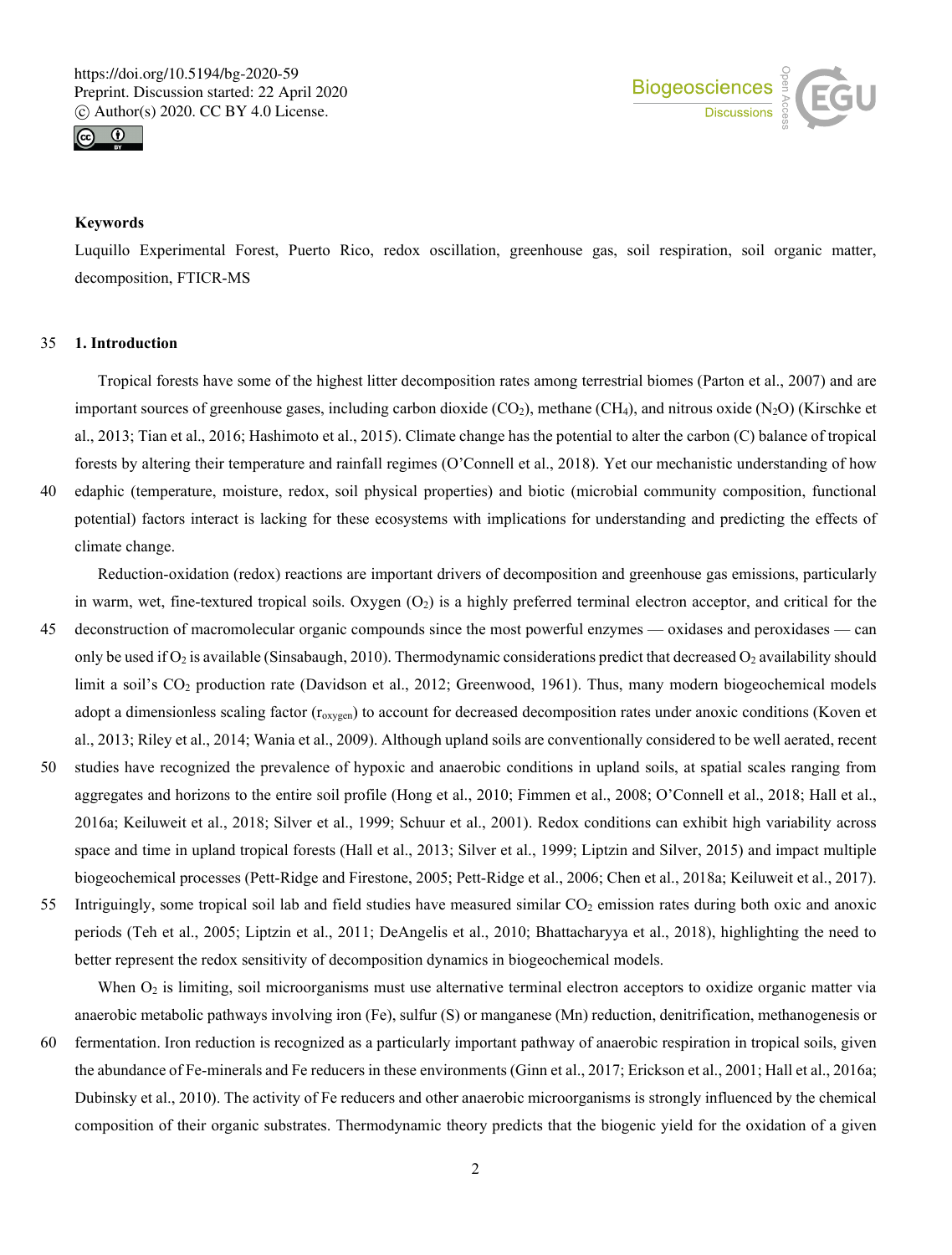



#### **Keywords**

Luquillo Experimental Forest, Puerto Rico, redox oscillation, greenhouse gas, soil respiration, soil organic matter, decomposition, FTICR-MS

# 35 **1. Introduction**

Tropical forests have some of the highest litter decomposition rates among terrestrial biomes (Parton et al., 2007) and are important sources of greenhouse gases, including carbon dioxide  $(CO_2)$ , methane  $(CH_4)$ , and nitrous oxide  $(N_2O)$  (Kirschke et al., 2013; Tian et al., 2016; Hashimoto et al., 2015). Climate change has the potential to alter the carbon (C) balance of tropical forests by altering their temperature and rainfall regimes (O'Connell et al., 2018). Yet our mechanistic understanding of how

40 edaphic (temperature, moisture, redox, soil physical properties) and biotic (microbial community composition, functional potential) factors interact is lacking for these ecosystems with implications for understanding and predicting the effects of climate change.

Reduction-oxidation (redox) reactions are important drivers of decomposition and greenhouse gas emissions, particularly in warm, wet, fine-textured tropical soils. Oxygen  $(O_2)$  is a highly preferred terminal electron acceptor, and critical for the

- 45 deconstruction of macromolecular organic compounds since the most powerful enzymes oxidases and peroxidases can only be used if  $O_2$  is available (Sinsabaugh, 2010). Thermodynamic considerations predict that decreased  $O_2$  availability should limit a soil's CO<sub>2</sub> production rate (Davidson et al., 2012; Greenwood, 1961). Thus, many modern biogeochemical models adopt a dimensionless scaling factor (r<sub>oxygen</sub>) to account for decreased decomposition rates under anoxic conditions (Koven et al., 2013; Riley et al., 2014; Wania et al., 2009). Although upland soils are conventionally considered to be well aerated, recent
- 50 studies have recognized the prevalence of hypoxic and anaerobic conditions in upland soils, at spatial scales ranging from aggregates and horizons to the entire soil profile (Hong et al., 2010; Fimmen et al., 2008; O'Connell et al., 2018; Hall et al., 2016a; Keiluweit et al., 2018; Silver et al., 1999; Schuur et al., 2001). Redox conditions can exhibit high variability across space and time in upland tropical forests (Hall et al., 2013; Silver et al., 1999; Liptzin and Silver, 2015) and impact multiple biogeochemical processes (Pett-Ridge and Firestone, 2005; Pett-Ridge et al., 2006; Chen et al., 2018a; Keiluweit et al., 2017).
- 55 Intriguingly, some tropical soil lab and field studies have measured similar CO2 emission rates during both oxic and anoxic periods (Teh et al., 2005; Liptzin et al., 2011; DeAngelis et al., 2010; Bhattacharyya et al., 2018), highlighting the need to better represent the redox sensitivity of decomposition dynamics in biogeochemical models.

When  $O_2$  is limiting, soil microorganisms must use alternative terminal electron acceptors to oxidize organic matter via anaerobic metabolic pathways involving iron (Fe), sulfur (S) or manganese (Mn) reduction, denitrification, methanogenesis or

60 fermentation. Iron reduction is recognized as a particularly important pathway of anaerobic respiration in tropical soils, given the abundance of Fe-minerals and Fe reducers in these environments (Ginn et al., 2017; Erickson et al., 2001; Hall et al., 2016a; Dubinsky et al., 2010). The activity of Fe reducers and other anaerobic microorganisms is strongly influenced by the chemical composition of their organic substrates. Thermodynamic theory predicts that the biogenic yield for the oxidation of a given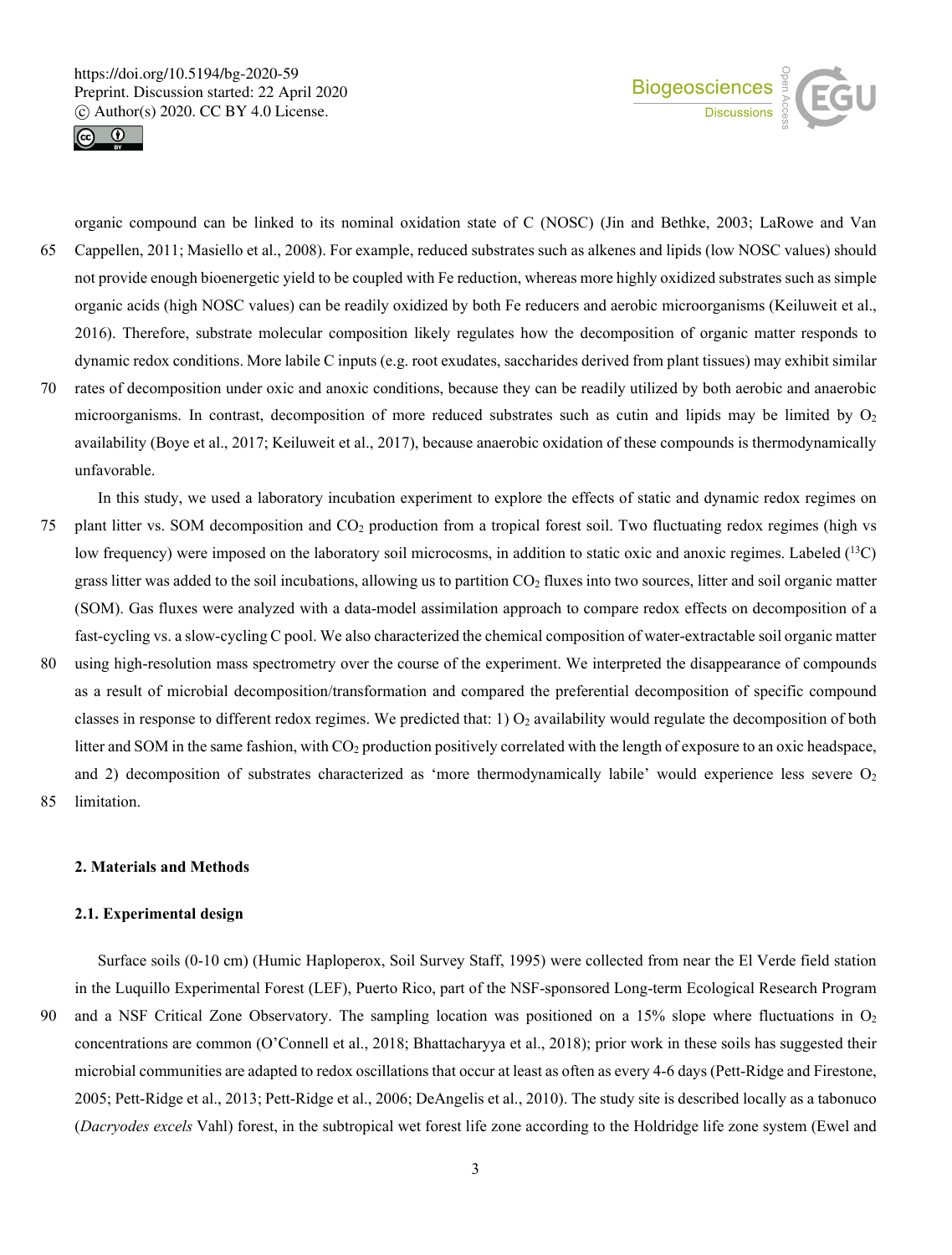



organic compound can be linked to its nominal oxidation state of C (NOSC) (Jin and Bethke, 2003; LaRowe and Van 65 Cappellen, 2011; Masiello et al., 2008). For example, reduced substrates such as alkenes and lipids (low NOSC values) should

- not provide enough bioenergetic yield to be coupled with Fe reduction, whereas more highly oxidized substrates such as simple organic acids (high NOSC values) can be readily oxidized by both Fe reducers and aerobic microorganisms (Keiluweit et al., 2016). Therefore, substrate molecular composition likely regulates how the decomposition of organic matter responds to dynamic redox conditions. More labile C inputs (e.g. root exudates, saccharides derived from plant tissues) may exhibit similar
- 70 rates of decomposition under oxic and anoxic conditions, because they can be readily utilized by both aerobic and anaerobic microorganisms. In contrast, decomposition of more reduced substrates such as cutin and lipids may be limited by  $O<sub>2</sub>$ availability (Boye et al., 2017; Keiluweit et al., 2017), because anaerobic oxidation of these compounds is thermodynamically unfavorable.

In this study, we used a laboratory incubation experiment to explore the effects of static and dynamic redox regimes on 75 plant litter vs. SOM decomposition and  $CO<sub>2</sub>$  production from a tropical forest soil. Two fluctuating redox regimes (high vs low frequency) were imposed on the laboratory soil microcosms, in addition to static oxic and anoxic regimes. Labeled (<sup>13</sup>C) grass litter was added to the soil incubations, allowing us to partition  $CO<sub>2</sub>$  fluxes into two sources, litter and soil organic matter

(SOM). Gas fluxes were analyzed with a data-model assimilation approach to compare redox effects on decomposition of a fast-cycling vs. a slow-cycling C pool. We also characterized the chemical composition of water-extractable soil organic matter 80 using high-resolution mass spectrometry over the course of the experiment. We interpreted the disappearance of compounds as a result of microbial decomposition/transformation and compared the preferential decomposition of specific compound classes in response to different redox regimes. We predicted that:  $1) O<sub>2</sub>$  availability would regulate the decomposition of both

litter and SOM in the same fashion, with CO<sub>2</sub> production positively correlated with the length of exposure to an oxic headspace, and 2) decomposition of substrates characterized as 'more thermodynamically labile' would experience less severe  $O<sub>2</sub>$ 

85 limitation.

#### **2. Materials and Methods**

#### **2.1. Experimental design**

Surface soils (0-10 cm) (Humic Haploperox, Soil Survey Staff, 1995) were collected from near the El Verde field station in the Luquillo Experimental Forest (LEF), Puerto Rico, part of the NSF-sponsored Long-term Ecological Research Program 90 and a NSF Critical Zone Observatory. The sampling location was positioned on a 15% slope where fluctuations in O2 concentrations are common (O'Connell et al., 2018; Bhattacharyya et al., 2018); prior work in these soils has suggested their microbial communities are adapted to redox oscillations that occur at least as often as every 4-6 days (Pett-Ridge and Firestone, 2005; Pett-Ridge et al., 2013; Pett-Ridge et al., 2006; DeAngelis et al., 2010). The study site is described locally as a tabonuco (*Dacryodes excels* Vahl) forest, in the subtropical wet forest life zone according to the Holdridge life zone system (Ewel and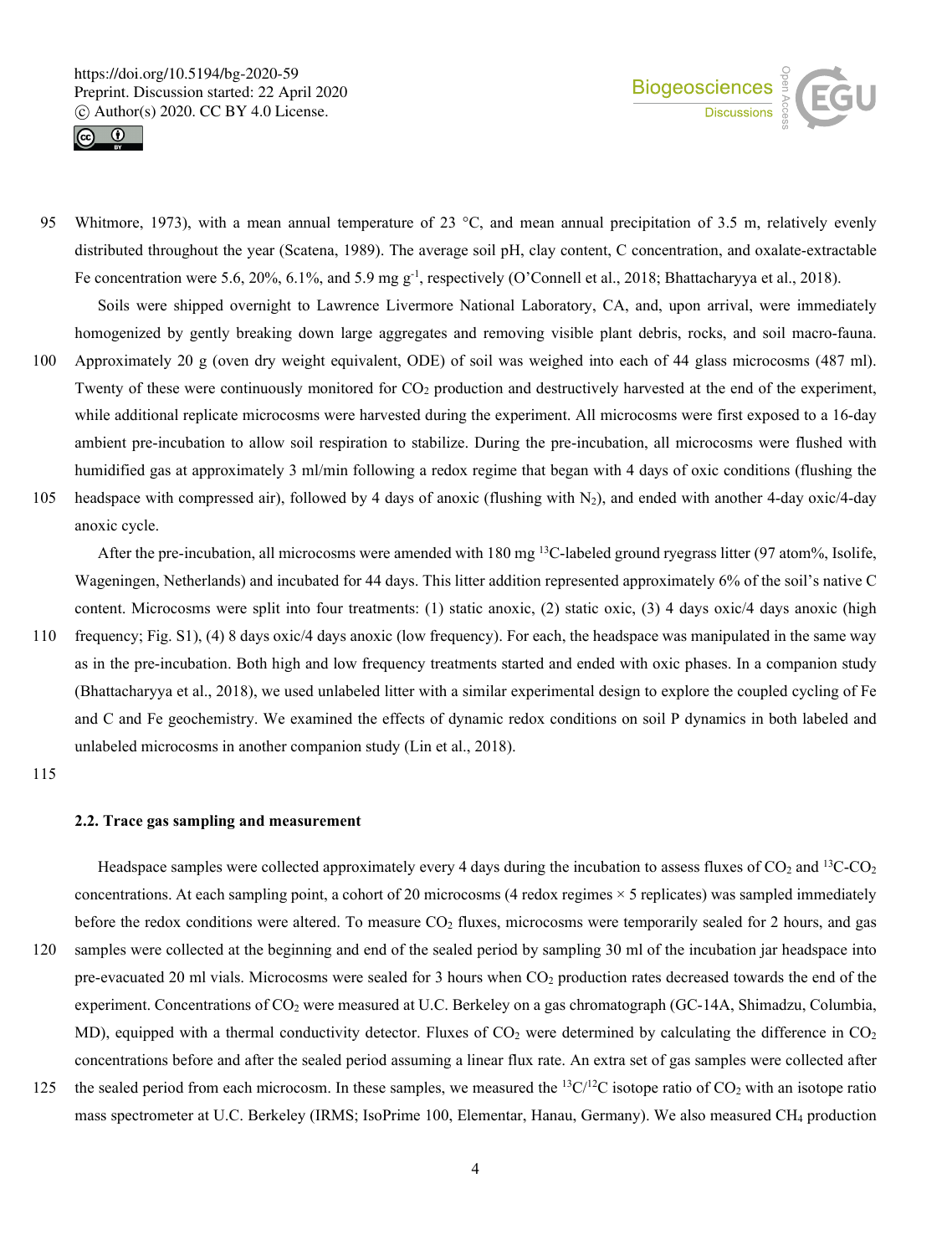



95 Whitmore, 1973), with a mean annual temperature of 23 °C, and mean annual precipitation of 3.5 m, relatively evenly distributed throughout the year (Scatena, 1989). The average soil pH, clay content, C concentration, and oxalate-extractable Fe concentration were 5.6, 20%, 6.1%, and 5.9 mg  $g^{-1}$ , respectively (O'Connell et al., 2018; Bhattacharyya et al., 2018).

Soils were shipped overnight to Lawrence Livermore National Laboratory, CA, and, upon arrival, were immediately homogenized by gently breaking down large aggregates and removing visible plant debris, rocks, and soil macro-fauna.

- 100 Approximately 20 g (oven dry weight equivalent, ODE) of soil was weighed into each of 44 glass microcosms (487 ml). Twenty of these were continuously monitored for  $CO<sub>2</sub>$  production and destructively harvested at the end of the experiment, while additional replicate microcosms were harvested during the experiment. All microcosms were first exposed to a 16-day ambient pre-incubation to allow soil respiration to stabilize. During the pre-incubation, all microcosms were flushed with humidified gas at approximately 3 ml/min following a redox regime that began with 4 days of oxic conditions (flushing the
- 105 headspace with compressed air), followed by 4 days of anoxic (flushing with  $N_2$ ), and ended with another 4-day oxic/4-day anoxic cycle.

After the pre-incubation, all microcosms were amended with  $180 \text{ mg}$  <sup>13</sup>C-labeled ground ryegrass litter (97 atom%, Isolife, Wageningen, Netherlands) and incubated for 44 days. This litter addition represented approximately 6% of the soil's native C content. Microcosms were split into four treatments: (1) static anoxic, (2) static oxic, (3) 4 days oxic/4 days anoxic (high

- 110 frequency; Fig. S1), (4) 8 days oxic/4 days anoxic (low frequency). For each, the headspace was manipulated in the same way as in the pre-incubation. Both high and low frequency treatments started and ended with oxic phases. In a companion study (Bhattacharyya et al., 2018), we used unlabeled litter with a similar experimental design to explore the coupled cycling of Fe and C and Fe geochemistry. We examined the effects of dynamic redox conditions on soil P dynamics in both labeled and unlabeled microcosms in another companion study (Lin et al., 2018).
- 115

# **2.2. Trace gas sampling and measurement**

Headspace samples were collected approximately every 4 days during the incubation to assess fluxes of  $CO_2$  and  $^{13}$ C-CO<sub>2</sub> concentrations. At each sampling point, a cohort of 20 microcosms (4 redox regimes × 5 replicates) was sampled immediately before the redox conditions were altered. To measure  $CO<sub>2</sub>$  fluxes, microcosms were temporarily sealed for 2 hours, and gas 120 samples were collected at the beginning and end of the sealed period by sampling 30 ml of the incubation jar headspace into pre-evacuated 20 ml vials. Microcosms were sealed for 3 hours when CO2 production rates decreased towards the end of the experiment. Concentrations of CO<sub>2</sub> were measured at U.C. Berkeley on a gas chromatograph (GC-14A, Shimadzu, Columbia, MD), equipped with a thermal conductivity detector. Fluxes of  $CO<sub>2</sub>$  were determined by calculating the difference in  $CO<sub>2</sub>$ concentrations before and after the sealed period assuming a linear flux rate. An extra set of gas samples were collected after

125 the sealed period from each microcosm. In these samples, we measured the  ${}^{13}C/{}^{12}C$  isotope ratio of CO<sub>2</sub> with an isotope ratio mass spectrometer at U.C. Berkeley (IRMS; IsoPrime 100, Elementar, Hanau, Germany). We also measured CH4 production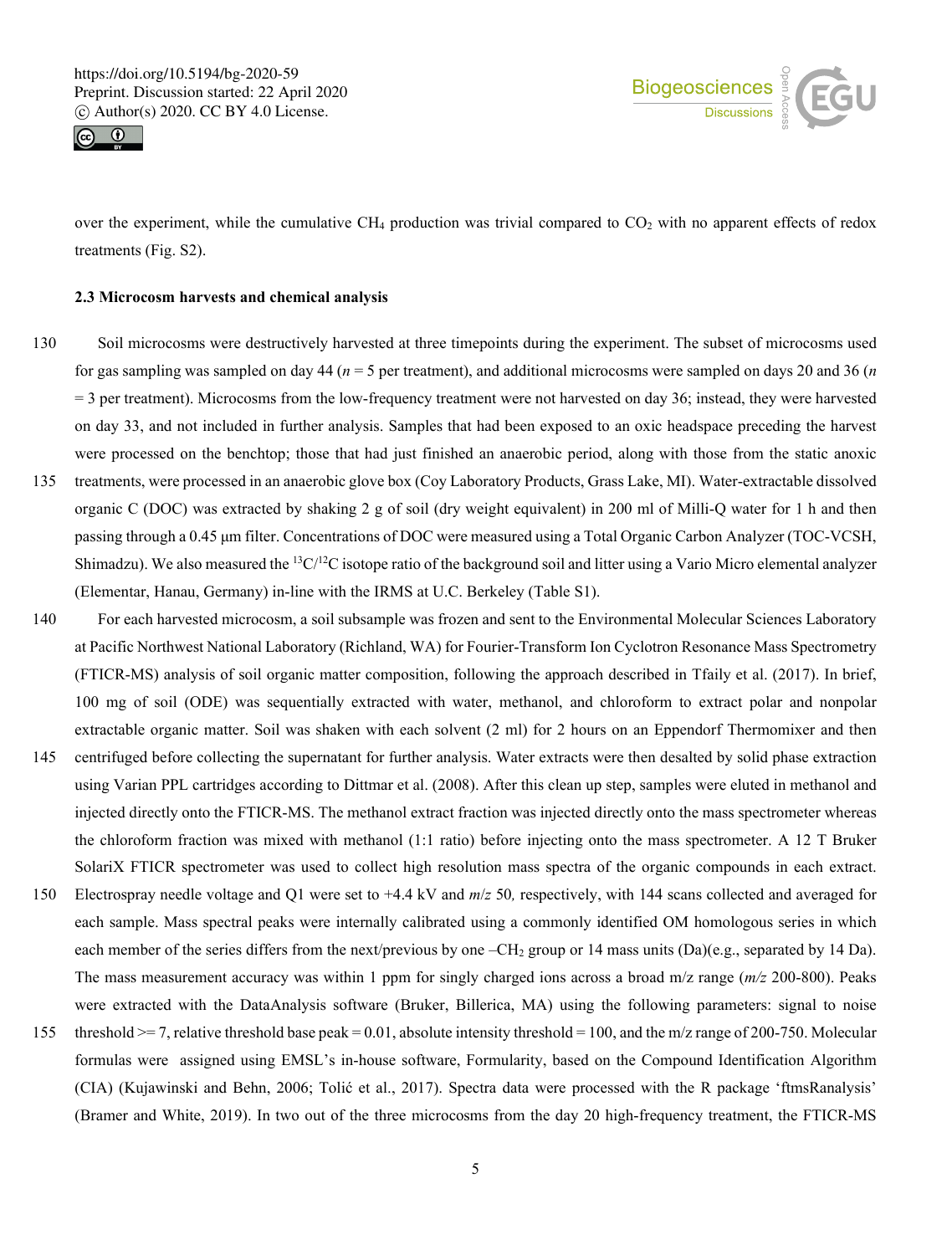



over the experiment, while the cumulative CH<sub>4</sub> production was trivial compared to  $CO<sub>2</sub>$  with no apparent effects of redox treatments (Fig. S2).

#### **2.3 Microcosm harvests and chemical analysis**

- 130 Soil microcosms were destructively harvested at three timepoints during the experiment. The subset of microcosms used for gas sampling was sampled on day 44 (*n* = 5 per treatment), and additional microcosms were sampled on days 20 and 36 (*n* = 3 per treatment). Microcosms from the low-frequency treatment were not harvested on day 36; instead, they were harvested on day 33, and not included in further analysis. Samples that had been exposed to an oxic headspace preceding the harvest were processed on the benchtop; those that had just finished an anaerobic period, along with those from the static anoxic
- 135 treatments, were processed in an anaerobic glove box (Coy Laboratory Products, Grass Lake, MI). Water-extractable dissolved organic C (DOC) was extracted by shaking 2 g of soil (dry weight equivalent) in 200 ml of Milli-Q water for 1 h and then passing through a 0.45 μm filter. Concentrations of DOC were measured using a Total Organic Carbon Analyzer (TOC-VCSH, Shimadzu). We also measured the <sup>13</sup>C/<sup>12</sup>C isotope ratio of the background soil and litter using a Vario Micro elemental analyzer (Elementar, Hanau, Germany) in-line with the IRMS at U.C. Berkeley (Table S1).
- 140 For each harvested microcosm, a soil subsample was frozen and sent to the Environmental Molecular Sciences Laboratory at Pacific Northwest National Laboratory (Richland, WA) for Fourier-Transform Ion Cyclotron Resonance Mass Spectrometry (FTICR-MS) analysis of soil organic matter composition, following the approach described in Tfaily et al. (2017). In brief, 100 mg of soil (ODE) was sequentially extracted with water, methanol, and chloroform to extract polar and nonpolar extractable organic matter. Soil was shaken with each solvent (2 ml) for 2 hours on an Eppendorf Thermomixer and then
- 145 centrifuged before collecting the supernatant for further analysis. Water extracts were then desalted by solid phase extraction using Varian PPL cartridges according to Dittmar et al. (2008). After this clean up step, samples were eluted in methanol and injected directly onto the FTICR-MS. The methanol extract fraction was injected directly onto the mass spectrometer whereas the chloroform fraction was mixed with methanol (1:1 ratio) before injecting onto the mass spectrometer. A 12 T Bruker SolariX FTICR spectrometer was used to collect high resolution mass spectra of the organic compounds in each extract.
- 150 Electrospray needle voltage and Q1 were set to +4.4 kV and *m*/*z* 50*,* respectively, with 144 scans collected and averaged for each sample. Mass spectral peaks were internally calibrated using a commonly identified OM homologous series in which each member of the series differs from the next/previous by one –CH<sub>2</sub> group or 14 mass units (Da)(e.g., separated by 14 Da). The mass measurement accuracy was within 1 ppm for singly charged ions across a broad m/z range (*m/z* 200-800). Peaks were extracted with the DataAnalysis software (Bruker, Billerica, MA) using the following parameters: signal to noise
- 155 threshold >= 7, relative threshold base peak = 0.01, absolute intensity threshold = 100, and the m/z range of 200-750. Molecular formulas were assigned using EMSL's in-house software, Formularity, based on the Compound Identification Algorithm (CIA) (Kujawinski and Behn, 2006; Tolić et al., 2017). Spectra data were processed with the R package 'ftmsRanalysis' (Bramer and White, 2019). In two out of the three microcosms from the day 20 high-frequency treatment, the FTICR-MS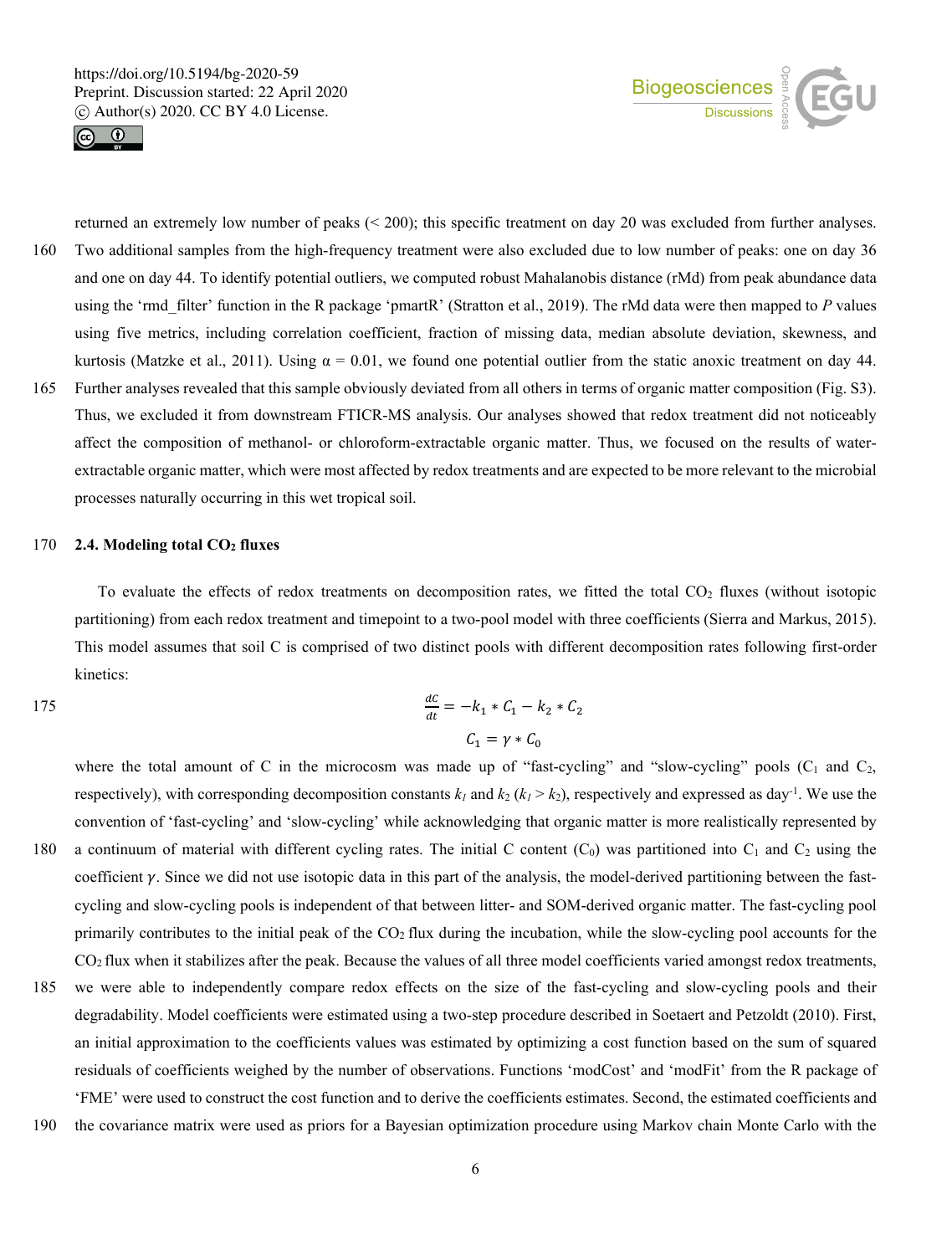



returned an extremely low number of peaks (< 200); this specific treatment on day 20 was excluded from further analyses. 160 Two additional samples from the high-frequency treatment were also excluded due to low number of peaks: one on day 36 and one on day 44. To identify potential outliers, we computed robust Mahalanobis distance (rMd) from peak abundance data using the 'rmd\_filter' function in the R package 'pmartR' (Stratton et al., 2019). The rMd data were then mapped to *P* values using five metrics, including correlation coefficient, fraction of missing data, median absolute deviation, skewness, and kurtosis (Matzke et al., 2011). Using  $\alpha = 0.01$ , we found one potential outlier from the static anoxic treatment on day 44. 165 Further analyses revealed that this sample obviously deviated from all others in terms of organic matter composition (Fig. S3). Thus, we excluded it from downstream FTICR-MS analysis. Our analyses showed that redox treatment did not noticeably affect the composition of methanol- or chloroform-extractable organic matter. Thus, we focused on the results of waterextractable organic matter, which were most affected by redox treatments and are expected to be more relevant to the microbial

#### 170 **2.4. Modeling total CO2 fluxes**

processes naturally occurring in this wet tropical soil.

To evaluate the effects of redox treatments on decomposition rates, we fitted the total CO<sub>2</sub> fluxes (without isotopic partitioning) from each redox treatment and timepoint to a two-pool model with three coefficients (Sierra and Markus, 2015). This model assumes that soil C is comprised of two distinct pools with different decomposition rates following first-order kinetics:

175 
$$
\frac{dC}{dt} = -k_1 * C_1 - k_2 * C_2
$$

$$
C_1 = \gamma * C_0
$$

where the total amount of C in the microcosm was made up of "fast-cycling" and "slow-cycling" pools  $(C_1$  and  $C_2$ , respectively), with corresponding decomposition constants  $k_l$  and  $k_2$  ( $k_l > k_2$ ), respectively and expressed as day<sup>-1</sup>. We use the convention of 'fast-cycling' and 'slow-cycling' while acknowledging that organic matter is more realistically represented by 180 a continuum of material with different cycling rates. The initial C content  $(C_0)$  was partitioned into  $C_1$  and  $C_2$  using the coefficient  $\gamma$ . Since we did not use isotopic data in this part of the analysis, the model-derived partitioning between the fastcycling and slow-cycling pools is independent of that between litter- and SOM-derived organic matter. The fast-cycling pool primarily contributes to the initial peak of the  $CO<sub>2</sub>$  flux during the incubation, while the slow-cycling pool accounts for the  $CO<sub>2</sub>$  flux when it stabilizes after the peak. Because the values of all three model coefficients varied amongst redox treatments,

- 185 we were able to independently compare redox effects on the size of the fast-cycling and slow-cycling pools and their degradability. Model coefficients were estimated using a two-step procedure described in Soetaert and Petzoldt (2010). First, an initial approximation to the coefficients values was estimated by optimizing a cost function based on the sum of squared residuals of coefficients weighed by the number of observations. Functions 'modCost' and 'modFit' from the R package of 'FME' were used to construct the cost function and to derive the coefficients estimates. Second, the estimated coefficients and
- 190 the covariance matrix were used as priors for a Bayesian optimization procedure using Markov chain Monte Carlo with the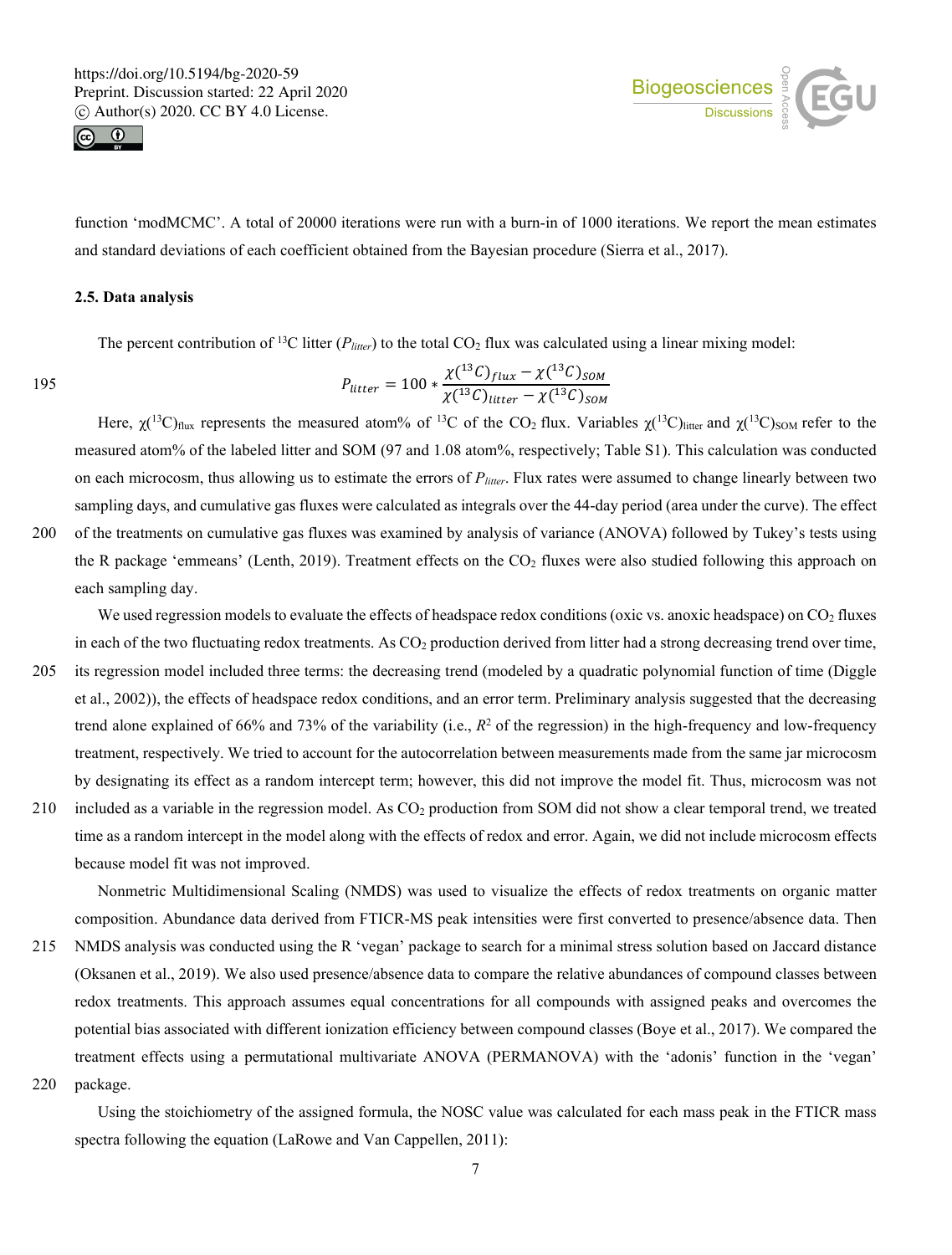



function 'modMCMC'. A total of 20000 iterations were run with a burn-in of 1000 iterations. We report the mean estimates and standard deviations of each coefficient obtained from the Bayesian procedure (Sierra et al., 2017).

#### **2.5. Data analysis**

The percent contribution of <sup>13</sup>C litter ( $P_{\text{litter}}$ ) to the total CO<sub>2</sub> flux was calculated using a linear mixing model:

#### 195

 $P_{litter} = 100 * \frac{\chi(^{13}C)_{flux} - \chi(^{13}C)_{SOM}}{\chi(^{13}C)_{litter} - \chi(^{13}C)_{SOM}}$ 

Here,  $\chi^{(13)}$ C)<sub>flux</sub> represents the measured atom% of <sup>13</sup>C of the CO<sub>2</sub> flux. Variables  $\chi^{(13)}$ C)<sub>litter</sub> and  $\chi^{(13)}$ C)<sub>SOM</sub> refer to the measured atom% of the labeled litter and SOM (97 and 1.08 atom%, respectively; Table S1). This calculation was conducted on each microcosm, thus allowing us to estimate the errors of *Plitter*. Flux rates were assumed to change linearly between two sampling days, and cumulative gas fluxes were calculated as integrals over the 44-day period (area under the curve). The effect 200 of the treatments on cumulative gas fluxes was examined by analysis of variance (ANOVA) followed by Tukey's tests using the R package 'emmeans' (Lenth, 2019). Treatment effects on the  $CO<sub>2</sub>$  fluxes were also studied following this approach on each sampling day.

We used regression models to evaluate the effects of headspace redox conditions (oxic vs. anoxic headspace) on CO<sub>2</sub> fluxes in each of the two fluctuating redox treatments. As CO<sub>2</sub> production derived from litter had a strong decreasing trend over time, 205 its regression model included three terms: the decreasing trend (modeled by a quadratic polynomial function of time (Diggle et al., 2002)), the effects of headspace redox conditions, and an error term. Preliminary analysis suggested that the decreasing trend alone explained of 66% and 73% of the variability (i.e.,  $R^2$  of the regression) in the high-frequency and low-frequency treatment, respectively. We tried to account for the autocorrelation between measurements made from the same jar microcosm by designating its effect as a random intercept term; however, this did not improve the model fit. Thus, microcosm was not

210 included as a variable in the regression model. As  $CO<sub>2</sub>$  production from SOM did not show a clear temporal trend, we treated time as a random intercept in the model along with the effects of redox and error. Again, we did not include microcosm effects because model fit was not improved.

Nonmetric Multidimensional Scaling (NMDS) was used to visualize the effects of redox treatments on organic matter composition. Abundance data derived from FTICR-MS peak intensities were first converted to presence/absence data. Then

- 215 NMDS analysis was conducted using the R 'vegan' package to search for a minimal stress solution based on Jaccard distance (Oksanen et al., 2019). We also used presence/absence data to compare the relative abundances of compound classes between redox treatments. This approach assumes equal concentrations for all compounds with assigned peaks and overcomes the potential bias associated with different ionization efficiency between compound classes (Boye et al., 2017). We compared the treatment effects using a permutational multivariate ANOVA (PERMANOVA) with the 'adonis' function in the 'vegan' 220 package.
	- Using the stoichiometry of the assigned formula, the NOSC value was calculated for each mass peak in the FTICR mass spectra following the equation (LaRowe and Van Cappellen, 2011):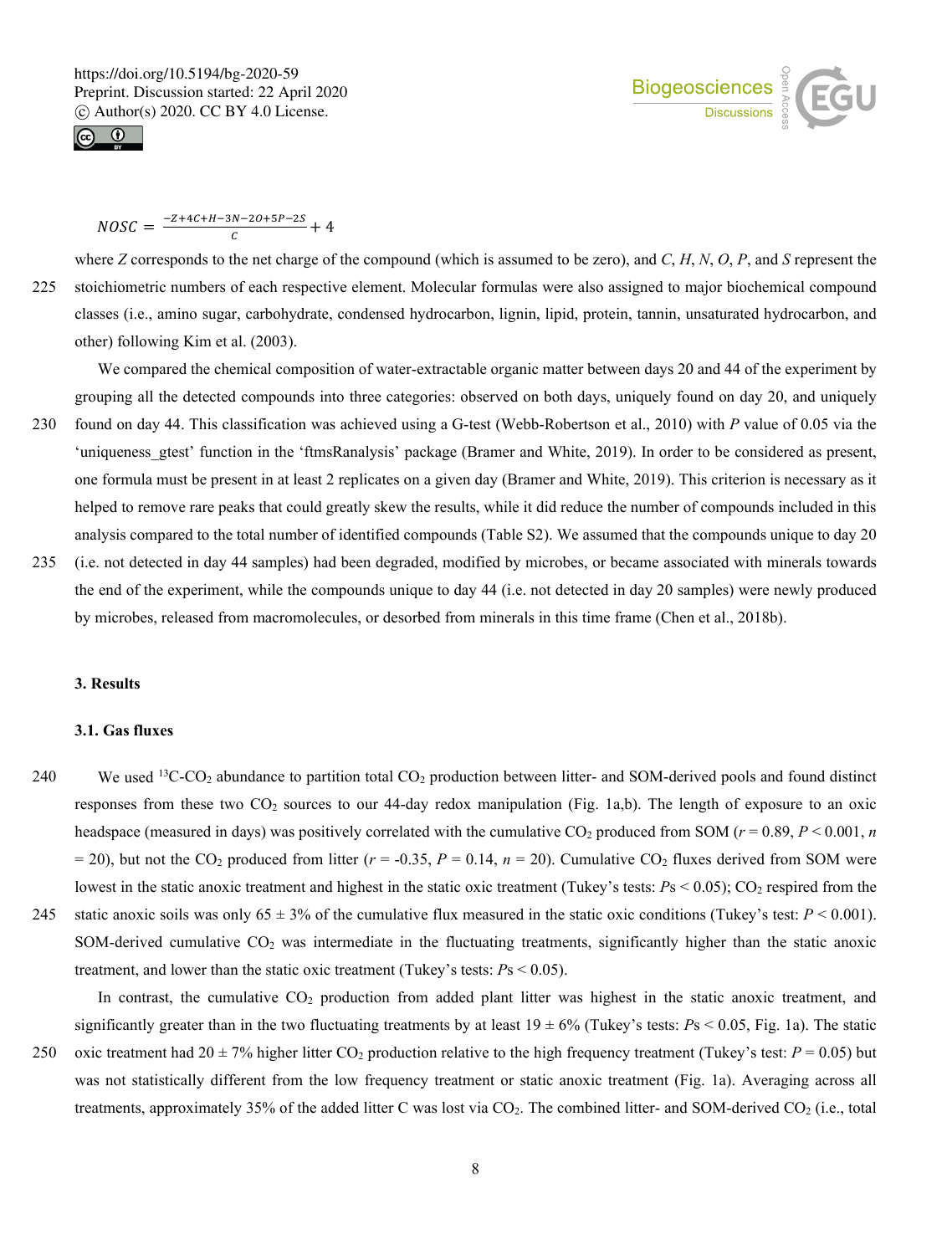



 $NOSC = \frac{-Z+4C+H-3N-2O+5P-2S}{C} + 4$ 

where *Z* corresponds to the net charge of the compound (which is assumed to be zero), and *C*, *H*, *N*, *O*, *P*, and *S* represent the 225 stoichiometric numbers of each respective element. Molecular formulas were also assigned to major biochemical compound classes (i.e., amino sugar, carbohydrate, condensed hydrocarbon, lignin, lipid, protein, tannin, unsaturated hydrocarbon, and other) following Kim et al. (2003).

We compared the chemical composition of water-extractable organic matter between days 20 and 44 of the experiment by grouping all the detected compounds into three categories: observed on both days, uniquely found on day 20, and uniquely

- 230 found on day 44. This classification was achieved using a G-test (Webb-Robertson et al., 2010) with *P* value of 0.05 via the 'uniqueness gtest' function in the 'ftmsRanalysis' package (Bramer and White, 2019). In order to be considered as present, one formula must be present in at least 2 replicates on a given day (Bramer and White, 2019). This criterion is necessary as it helped to remove rare peaks that could greatly skew the results, while it did reduce the number of compounds included in this analysis compared to the total number of identified compounds (Table S2). We assumed that the compounds unique to day 20
- 235 (i.e. not detected in day 44 samples) had been degraded, modified by microbes, or became associated with minerals towards the end of the experiment, while the compounds unique to day 44 (i.e. not detected in day 20 samples) were newly produced by microbes, released from macromolecules, or desorbed from minerals in this time frame (Chen et al., 2018b).

## **3. Results**

#### **3.1. Gas fluxes**

240 We used <sup>13</sup>C-CO<sub>2</sub> abundance to partition total CO<sub>2</sub> production between litter- and SOM-derived pools and found distinct responses from these two  $CO_2$  sources to our 44-day redox manipulation (Fig. 1a,b). The length of exposure to an oxic headspace (measured in days) was positively correlated with the cumulative  $CO_2$  produced from SOM ( $r = 0.89$ ,  $P \le 0.001$ , *n* = 20), but not the CO<sub>2</sub> produced from litter ( $r = -0.35$ ,  $P = 0.14$ ,  $n = 20$ ). Cumulative CO<sub>2</sub> fluxes derived from SOM were lowest in the static anoxic treatment and highest in the static oxic treatment (Tukey's tests:  $Ps < 0.05$ ); CO<sub>2</sub> respired from the 245 static anoxic soils was only  $65 \pm 3\%$  of the cumulative flux measured in the static oxic conditions (Tukey's test:  $P \le 0.001$ ). SOM-derived cumulative CO<sub>2</sub> was intermediate in the fluctuating treatments, significantly higher than the static anoxic treatment, and lower than the static oxic treatment (Tukey's tests: *P*s < 0.05).

In contrast, the cumulative CO<sub>2</sub> production from added plant litter was highest in the static anoxic treatment, and significantly greater than in the two fluctuating treatments by at least  $19 \pm 6\%$  (Tukey's tests:  $Ps < 0.05$ , Fig. 1a). The static

250 oxic treatment had  $20 \pm 7\%$  higher litter CO<sub>2</sub> production relative to the high frequency treatment (Tukey's test:  $P = 0.05$ ) but was not statistically different from the low frequency treatment or static anoxic treatment (Fig. 1a). Averaging across all treatments, approximately 35% of the added litter C was lost via  $CO<sub>2</sub>$ . The combined litter- and SOM-derived  $CO<sub>2</sub>$  (i.e., total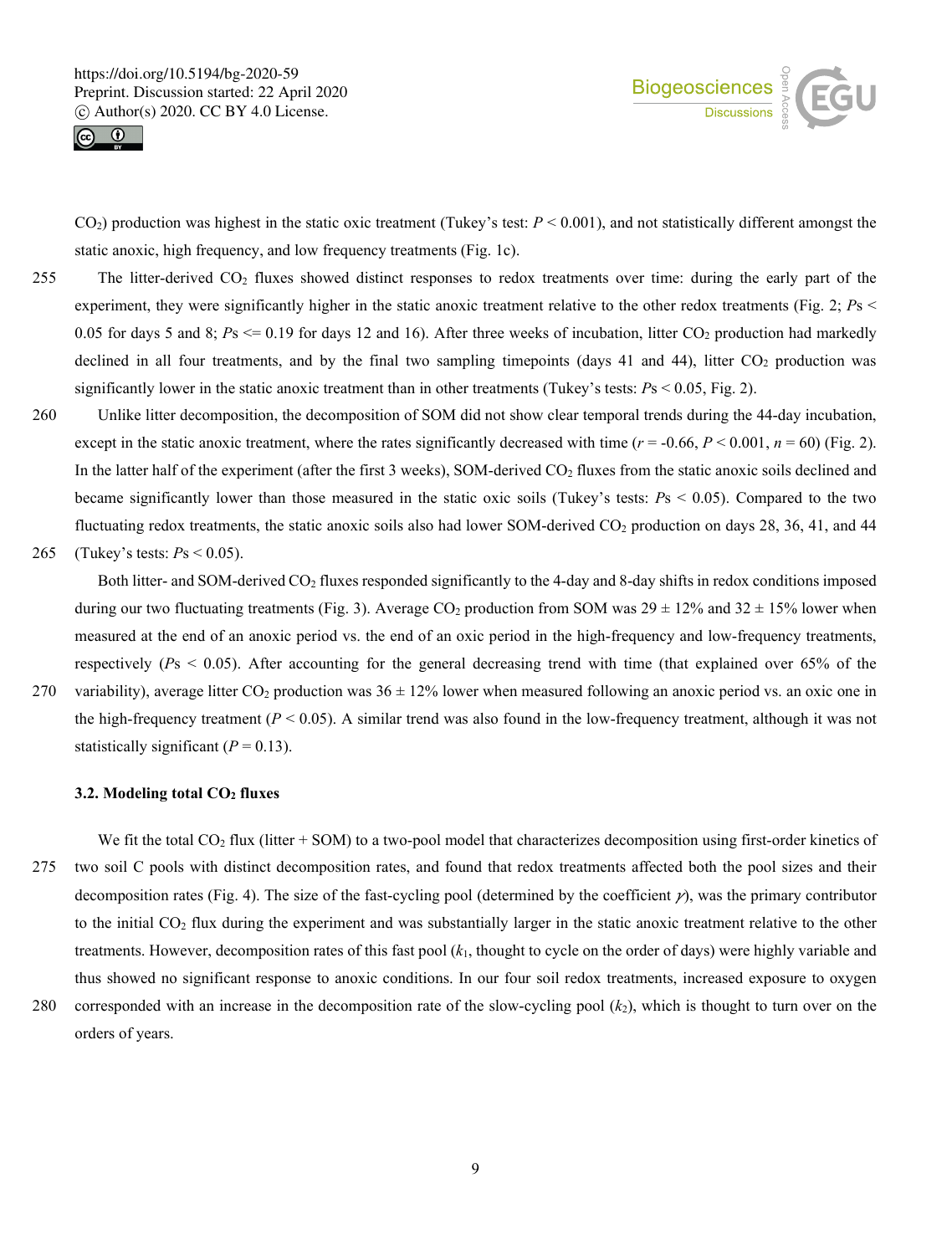

 $CO<sub>2</sub>$ ) production was highest in the static oxic treatment (Tukey's test:  $P < 0.001$ ), and not statistically different amongst the static anoxic, high frequency, and low frequency treatments (Fig. 1c).

- 255 The litter-derived CO2 fluxes showed distinct responses to redox treatments over time: during the early part of the experiment, they were significantly higher in the static anoxic treatment relative to the other redox treatments (Fig. 2; *P*s < 0.05 for days 5 and 8;  $Ps \le 0.19$  for days 12 and 16). After three weeks of incubation, litter CO<sub>2</sub> production had markedly declined in all four treatments, and by the final two sampling timepoints (days 41 and 44), litter  $CO<sub>2</sub>$  production was significantly lower in the static anoxic treatment than in other treatments (Tukey's tests: *P*s < 0.05, Fig. 2).
- 

260 Unlike litter decomposition, the decomposition of SOM did not show clear temporal trends during the 44-day incubation, except in the static anoxic treatment, where the rates significantly decreased with time  $(r = -0.66, P \le 0.001, n = 60)$  (Fig. 2). In the latter half of the experiment (after the first 3 weeks), SOM-derived  $CO<sub>2</sub>$  fluxes from the static anoxic soils declined and became significantly lower than those measured in the static oxic soils (Tukey's tests: *P*s < 0.05). Compared to the two fluctuating redox treatments, the static anoxic soils also had lower SOM-derived  $CO<sub>2</sub>$  production on days 28, 36, 41, and 44

265 (Tukey's tests: 
$$
P_s
$$
 < 0.05).

Both litter- and SOM-derived CO<sub>2</sub> fluxes responded significantly to the 4-day and 8-day shifts in redox conditions imposed during our two fluctuating treatments (Fig. 3). Average CO<sub>2</sub> production from SOM was  $29 \pm 12\%$  and  $32 \pm 15\%$  lower when measured at the end of an anoxic period vs. the end of an oxic period in the high-frequency and low-frequency treatments, respectively (*P*s < 0.05). After accounting for the general decreasing trend with time (that explained over 65% of the

270 variability), average litter  $CO_2$  production was  $36 \pm 12\%$  lower when measured following an anoxic period vs. an oxic one in the high-frequency treatment  $(P < 0.05)$ . A similar trend was also found in the low-frequency treatment, although it was not statistically significant  $(P = 0.13)$ .

# **3.2. Modeling total CO2 fluxes**

We fit the total  $CO_2$  flux (litter  $+$  SOM) to a two-pool model that characterizes decomposition using first-order kinetics of 275 two soil C pools with distinct decomposition rates, and found that redox treatments affected both the pool sizes and their decomposition rates (Fig. 4). The size of the fast-cycling pool (determined by the coefficient  $\gamma$ ), was the primary contributor to the initial  $CO<sub>2</sub>$  flux during the experiment and was substantially larger in the static anoxic treatment relative to the other treatments. However, decomposition rates of this fast pool (*k*1, thought to cycle on the order of days) were highly variable and thus showed no significant response to anoxic conditions. In our four soil redox treatments, increased exposure to oxygen

280 corresponded with an increase in the decomposition rate of the slow-cycling pool (*k*2), which is thought to turn over on the orders of years.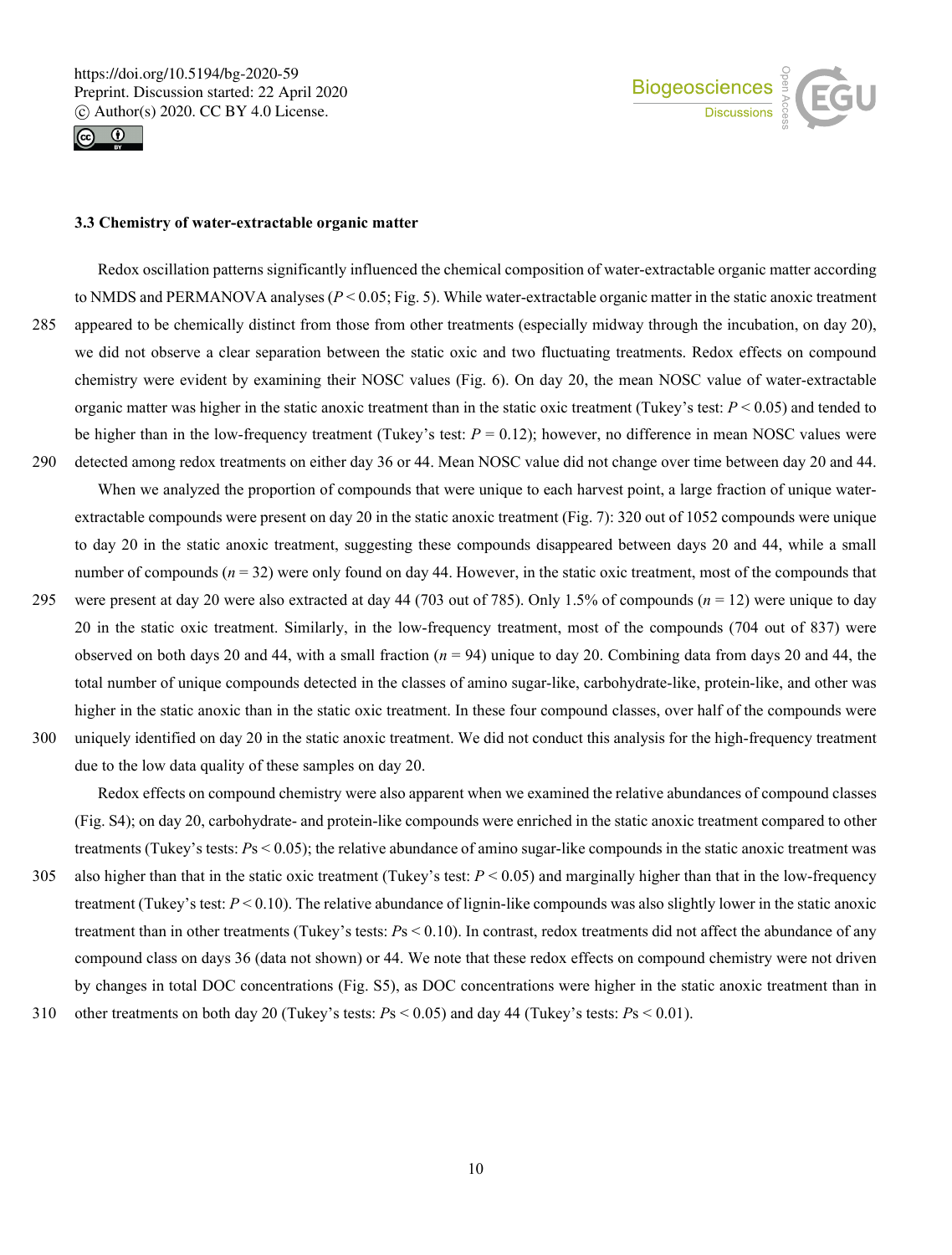



#### **3.3 Chemistry of water-extractable organic matter**

Redox oscillation patterns significantly influenced the chemical composition of water-extractable organic matter according to NMDS and PERMANOVA analyses (*P* < 0.05; Fig. 5). While water-extractable organic matter in the static anoxic treatment 285 appeared to be chemically distinct from those from other treatments (especially midway through the incubation, on day 20), we did not observe a clear separation between the static oxic and two fluctuating treatments. Redox effects on compound chemistry were evident by examining their NOSC values (Fig. 6). On day 20, the mean NOSC value of water-extractable organic matter was higher in the static anoxic treatment than in the static oxic treatment (Tukey's test: *P* < 0.05) and tended to be higher than in the low-frequency treatment (Tukey's test:  $P = 0.12$ ); however, no difference in mean NOSC values were 290 detected among redox treatments on either day 36 or 44. Mean NOSC value did not change over time between day 20 and 44.

When we analyzed the proportion of compounds that were unique to each harvest point, a large fraction of unique waterextractable compounds were present on day 20 in the static anoxic treatment (Fig. 7): 320 out of 1052 compounds were unique to day 20 in the static anoxic treatment, suggesting these compounds disappeared between days 20 and 44, while a small number of compounds  $(n = 32)$  were only found on day 44. However, in the static oxic treatment, most of the compounds that

- 295 were present at day 20 were also extracted at day 44 (703 out of 785). Only 1.5% of compounds (*n* = 12) were unique to day 20 in the static oxic treatment. Similarly, in the low-frequency treatment, most of the compounds (704 out of 837) were observed on both days 20 and 44, with a small fraction (*n* = 94) unique to day 20. Combining data from days 20 and 44, the total number of unique compounds detected in the classes of amino sugar-like, carbohydrate-like, protein-like, and other was higher in the static anoxic than in the static oxic treatment. In these four compound classes, over half of the compounds were 300 uniquely identified on day 20 in the static anoxic treatment. We did not conduct this analysis for the high-frequency treatment
	-

due to the low data quality of these samples on day 20.

Redox effects on compound chemistry were also apparent when we examined the relative abundances of compound classes (Fig. S4); on day 20, carbohydrate- and protein-like compounds were enriched in the static anoxic treatment compared to other treatments (Tukey's tests: *P*s < 0.05); the relative abundance of amino sugar-like compounds in the static anoxic treatment was

- 305 also higher than that in the static oxic treatment (Tukey's test: *P* < 0.05) and marginally higher than that in the low-frequency treatment (Tukey's test: *P* < 0.10). The relative abundance of lignin-like compounds was also slightly lower in the static anoxic treatment than in other treatments (Tukey's tests: *P*s < 0.10). In contrast, redox treatments did not affect the abundance of any compound class on days 36 (data not shown) or 44. We note that these redox effects on compound chemistry were not driven by changes in total DOC concentrations (Fig. S5), as DOC concentrations were higher in the static anoxic treatment than in
- 310 other treatments on both day 20 (Tukey's tests: *P*s < 0.05) and day 44 (Tukey's tests: *P*s < 0.01).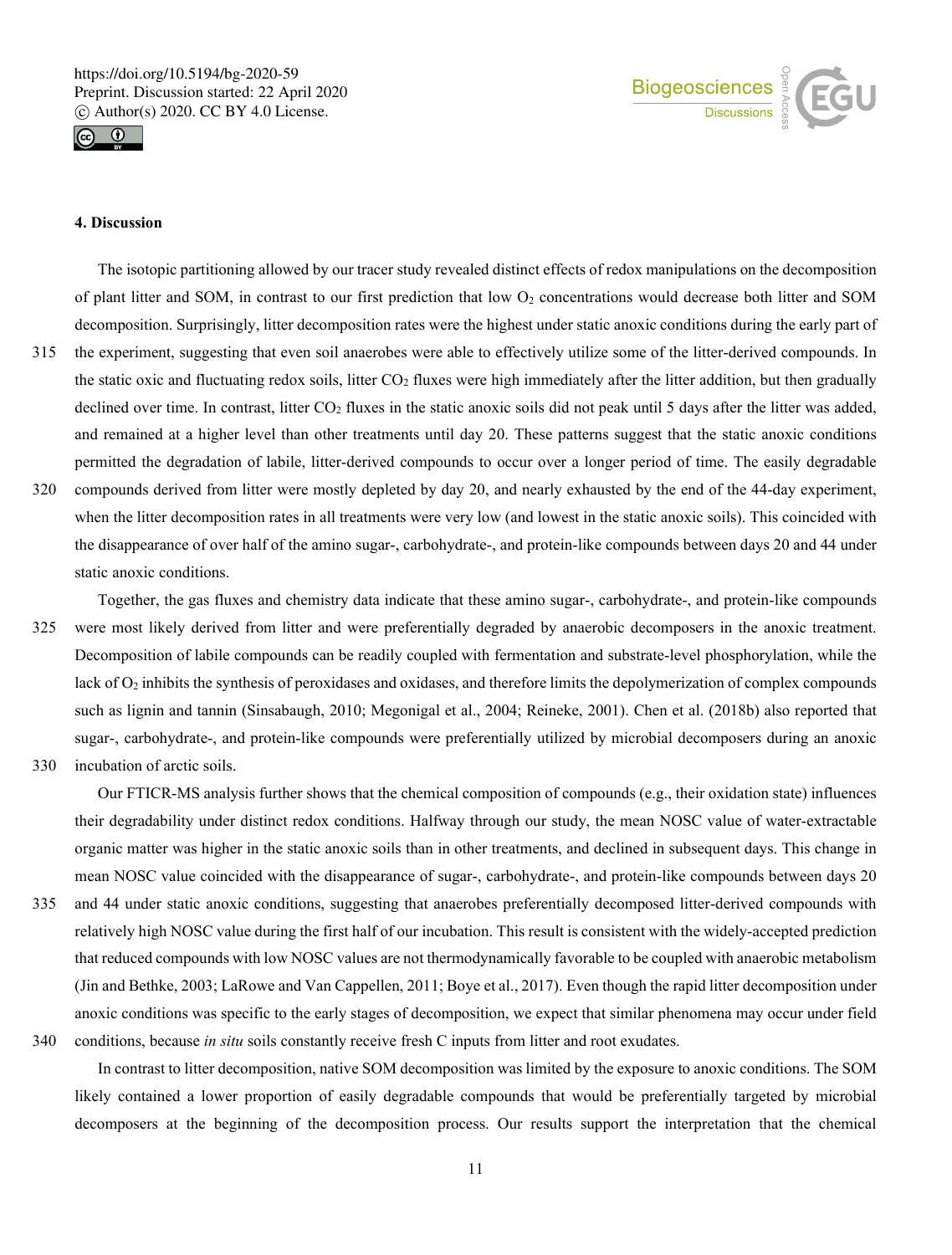



# **4. Discussion**

The isotopic partitioning allowed by our tracer study revealed distinct effects of redox manipulations on the decomposition of plant litter and SOM, in contrast to our first prediction that low  $O_2$  concentrations would decrease both litter and SOM decomposition. Surprisingly, litter decomposition rates were the highest under static anoxic conditions during the early part of

- 315 the experiment, suggesting that even soil anaerobes were able to effectively utilize some of the litter-derived compounds. In the static oxic and fluctuating redox soils, litter  $CO<sub>2</sub>$  fluxes were high immediately after the litter addition, but then gradually declined over time. In contrast, litter CO<sub>2</sub> fluxes in the static anoxic soils did not peak until 5 days after the litter was added, and remained at a higher level than other treatments until day 20. These patterns suggest that the static anoxic conditions permitted the degradation of labile, litter-derived compounds to occur over a longer period of time. The easily degradable
- 320 compounds derived from litter were mostly depleted by day 20, and nearly exhausted by the end of the 44-day experiment, when the litter decomposition rates in all treatments were very low (and lowest in the static anoxic soils). This coincided with the disappearance of over half of the amino sugar-, carbohydrate-, and protein-like compounds between days 20 and 44 under static anoxic conditions.
- Together, the gas fluxes and chemistry data indicate that these amino sugar-, carbohydrate-, and protein-like compounds 325 were most likely derived from litter and were preferentially degraded by anaerobic decomposers in the anoxic treatment. Decomposition of labile compounds can be readily coupled with fermentation and substrate-level phosphorylation, while the lack of  $O_2$  inhibits the synthesis of peroxidases and oxidases, and therefore limits the depolymerization of complex compounds such as lignin and tannin (Sinsabaugh, 2010; Megonigal et al., 2004; Reineke, 2001). Chen et al. (2018b) also reported that sugar-, carbohydrate-, and protein-like compounds were preferentially utilized by microbial decomposers during an anoxic
- 330 incubation of arctic soils.

Our FTICR-MS analysis further shows that the chemical composition of compounds (e.g., their oxidation state) influences their degradability under distinct redox conditions. Halfway through our study, the mean NOSC value of water-extractable organic matter was higher in the static anoxic soils than in other treatments, and declined in subsequent days. This change in mean NOSC value coincided with the disappearance of sugar-, carbohydrate-, and protein-like compounds between days 20

- 335 and 44 under static anoxic conditions, suggesting that anaerobes preferentially decomposed litter-derived compounds with relatively high NOSC value during the first half of our incubation. This result is consistent with the widely-accepted prediction that reduced compounds with low NOSC values are not thermodynamically favorable to be coupled with anaerobic metabolism (Jin and Bethke, 2003; LaRowe and Van Cappellen, 2011; Boye et al., 2017). Even though the rapid litter decomposition under anoxic conditions was specific to the early stages of decomposition, we expect that similar phenomena may occur under field
- 340 conditions, because *in situ* soils constantly receive fresh C inputs from litter and root exudates.

In contrast to litter decomposition, native SOM decomposition was limited by the exposure to anoxic conditions. The SOM likely contained a lower proportion of easily degradable compounds that would be preferentially targeted by microbial decomposers at the beginning of the decomposition process. Our results support the interpretation that the chemical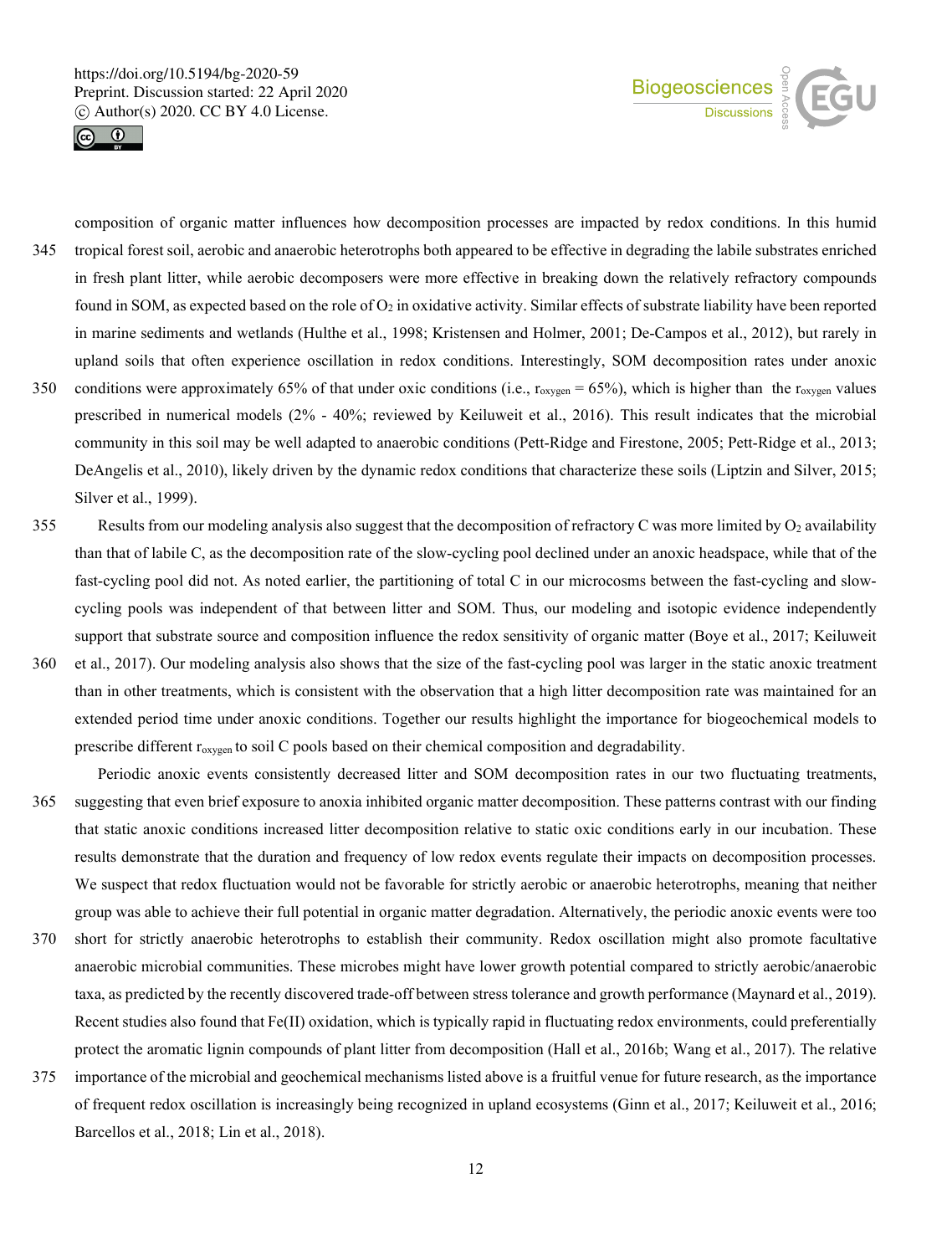



composition of organic matter influences how decomposition processes are impacted by redox conditions. In this humid 345 tropical forest soil, aerobic and anaerobic heterotrophs both appeared to be effective in degrading the labile substrates enriched in fresh plant litter, while aerobic decomposers were more effective in breaking down the relatively refractory compounds found in SOM, as expected based on the role of  $O_2$  in oxidative activity. Similar effects of substrate liability have been reported in marine sediments and wetlands (Hulthe et al., 1998; Kristensen and Holmer, 2001; De-Campos et al., 2012), but rarely in upland soils that often experience oscillation in redox conditions. Interestingly, SOM decomposition rates under anoxic 350 conditions were approximately 65% of that under oxic conditions (i.e.,  $r_{oxygen} = 65\%$ ), which is higher than the  $r_{oxygen}$  values prescribed in numerical models (2% - 40%; reviewed by Keiluweit et al., 2016). This result indicates that the microbial community in this soil may be well adapted to anaerobic conditions (Pett-Ridge and Firestone, 2005; Pett-Ridge et al., 2013; DeAngelis et al., 2010), likely driven by the dynamic redox conditions that characterize these soils (Liptzin and Silver, 2015;

Silver et al., 1999).

- 355 Results from our modeling analysis also suggest that the decomposition of refractory C was more limited by  $O_2$  availability than that of labile C, as the decomposition rate of the slow-cycling pool declined under an anoxic headspace, while that of the fast-cycling pool did not. As noted earlier, the partitioning of total C in our microcosms between the fast-cycling and slowcycling pools was independent of that between litter and SOM. Thus, our modeling and isotopic evidence independently support that substrate source and composition influence the redox sensitivity of organic matter (Boye et al., 2017; Keiluweit 360 et al., 2017). Our modeling analysis also shows that the size of the fast-cycling pool was larger in the static anoxic treatment than in other treatments, which is consistent with the observation that a high litter decomposition rate was maintained for an extended period time under anoxic conditions. Together our results highlight the importance for biogeochemical models to prescribe different r<sub>oxygen</sub> to soil C pools based on their chemical composition and degradability.
- Periodic anoxic events consistently decreased litter and SOM decomposition rates in our two fluctuating treatments, 365 suggesting that even brief exposure to anoxia inhibited organic matter decomposition. These patterns contrast with our finding that static anoxic conditions increased litter decomposition relative to static oxic conditions early in our incubation. These results demonstrate that the duration and frequency of low redox events regulate their impacts on decomposition processes. We suspect that redox fluctuation would not be favorable for strictly aerobic or anaerobic heterotrophs, meaning that neither group was able to achieve their full potential in organic matter degradation. Alternatively, the periodic anoxic events were too
- 370 short for strictly anaerobic heterotrophs to establish their community. Redox oscillation might also promote facultative anaerobic microbial communities. These microbes might have lower growth potential compared to strictly aerobic/anaerobic taxa, as predicted by the recently discovered trade-off between stress tolerance and growth performance (Maynard et al., 2019). Recent studies also found that Fe(II) oxidation, which is typically rapid in fluctuating redox environments, could preferentially protect the aromatic lignin compounds of plant litter from decomposition (Hall et al., 2016b; Wang et al., 2017). The relative
- 375 importance of the microbial and geochemical mechanisms listed above is a fruitful venue for future research, as the importance of frequent redox oscillation is increasingly being recognized in upland ecosystems (Ginn et al., 2017; Keiluweit et al., 2016; Barcellos et al., 2018; Lin et al., 2018).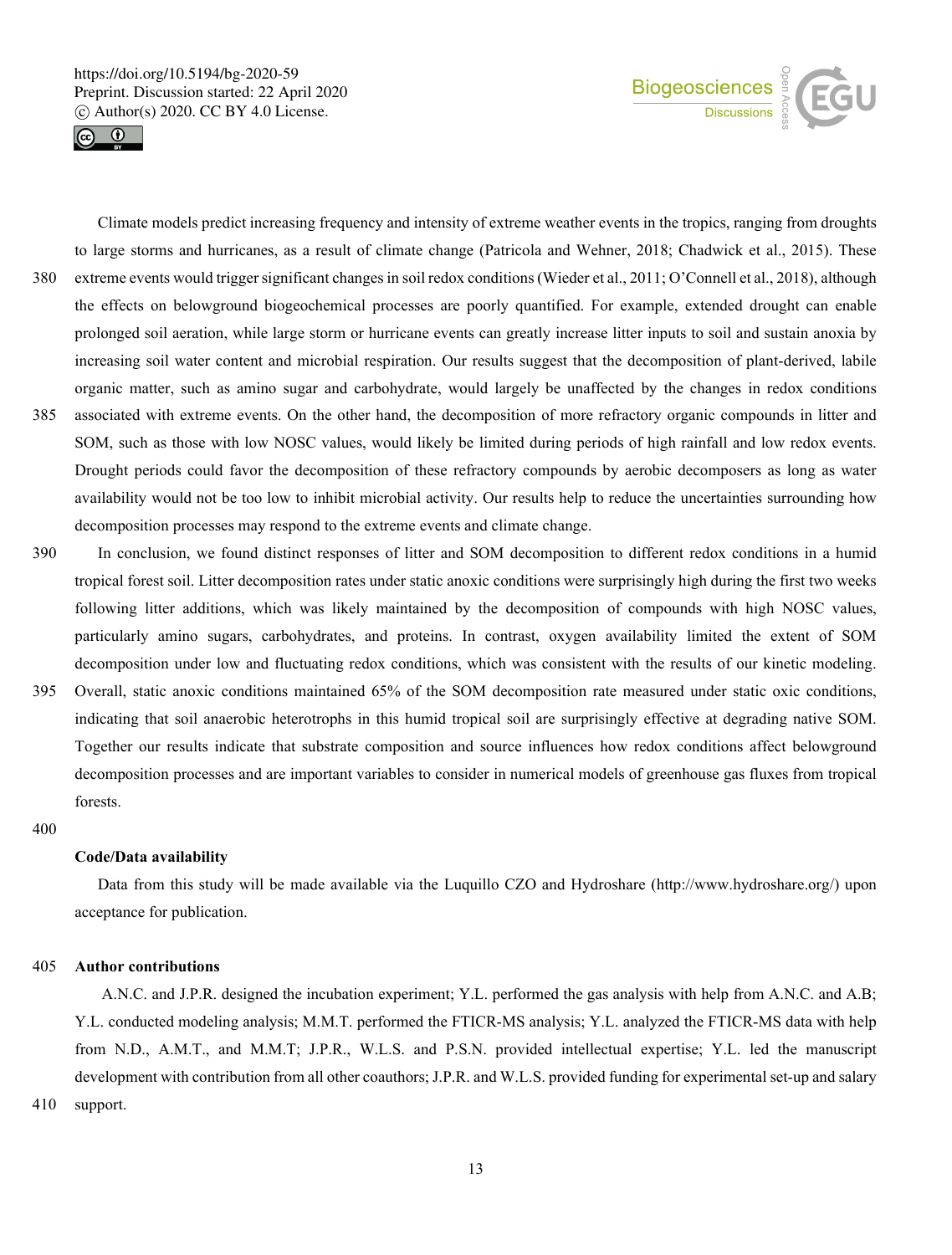



to large storms and hurricanes, as a result of climate change (Patricola and Wehner, 2018; Chadwick et al., 2015). These 380 extreme events would trigger significant changes in soil redox conditions (Wieder et al., 2011; O'Connell et al., 2018), although the effects on belowground biogeochemical processes are poorly quantified. For example, extended drought can enable prolonged soil aeration, while large storm or hurricane events can greatly increase litter inputs to soil and sustain anoxia by increasing soil water content and microbial respiration. Our results suggest that the decomposition of plant-derived, labile organic matter, such as amino sugar and carbohydrate, would largely be unaffected by the changes in redox conditions 385 associated with extreme events. On the other hand, the decomposition of more refractory organic compounds in litter and SOM, such as those with low NOSC values, would likely be limited during periods of high rainfall and low redox events. Drought periods could favor the decomposition of these refractory compounds by aerobic decomposers as long as water availability would not be too low to inhibit microbial activity. Our results help to reduce the uncertainties surrounding how decomposition processes may respond to the extreme events and climate change.

Climate models predict increasing frequency and intensity of extreme weather events in the tropics, ranging from droughts

- 390 In conclusion, we found distinct responses of litter and SOM decomposition to different redox conditions in a humid tropical forest soil. Litter decomposition rates under static anoxic conditions were surprisingly high during the first two weeks following litter additions, which was likely maintained by the decomposition of compounds with high NOSC values, particularly amino sugars, carbohydrates, and proteins. In contrast, oxygen availability limited the extent of SOM decomposition under low and fluctuating redox conditions, which was consistent with the results of our kinetic modeling.
- 395 Overall, static anoxic conditions maintained 65% of the SOM decomposition rate measured under static oxic conditions, indicating that soil anaerobic heterotrophs in this humid tropical soil are surprisingly effective at degrading native SOM. Together our results indicate that substrate composition and source influences how redox conditions affect belowground decomposition processes and are important variables to consider in numerical models of greenhouse gas fluxes from tropical forests.

#### 400

#### **Code/Data availability**

Data from this study will be made available via the Luquillo CZO and Hydroshare (http://www.hydroshare.org/) upon acceptance for publication.

## 405 **Author contributions**

A.N.C. and J.P.R. designed the incubation experiment; Y.L. performed the gas analysis with help from A.N.C. and A.B; Y.L. conducted modeling analysis; M.M.T. performed the FTICR-MS analysis; Y.L. analyzed the FTICR-MS data with help from N.D., A.M.T., and M.M.T; J.P.R., W.L.S. and P.S.N. provided intellectual expertise; Y.L. led the manuscript development with contribution from all other coauthors; J.P.R. and W.L.S. provided funding for experimental set-up and salary 410 support.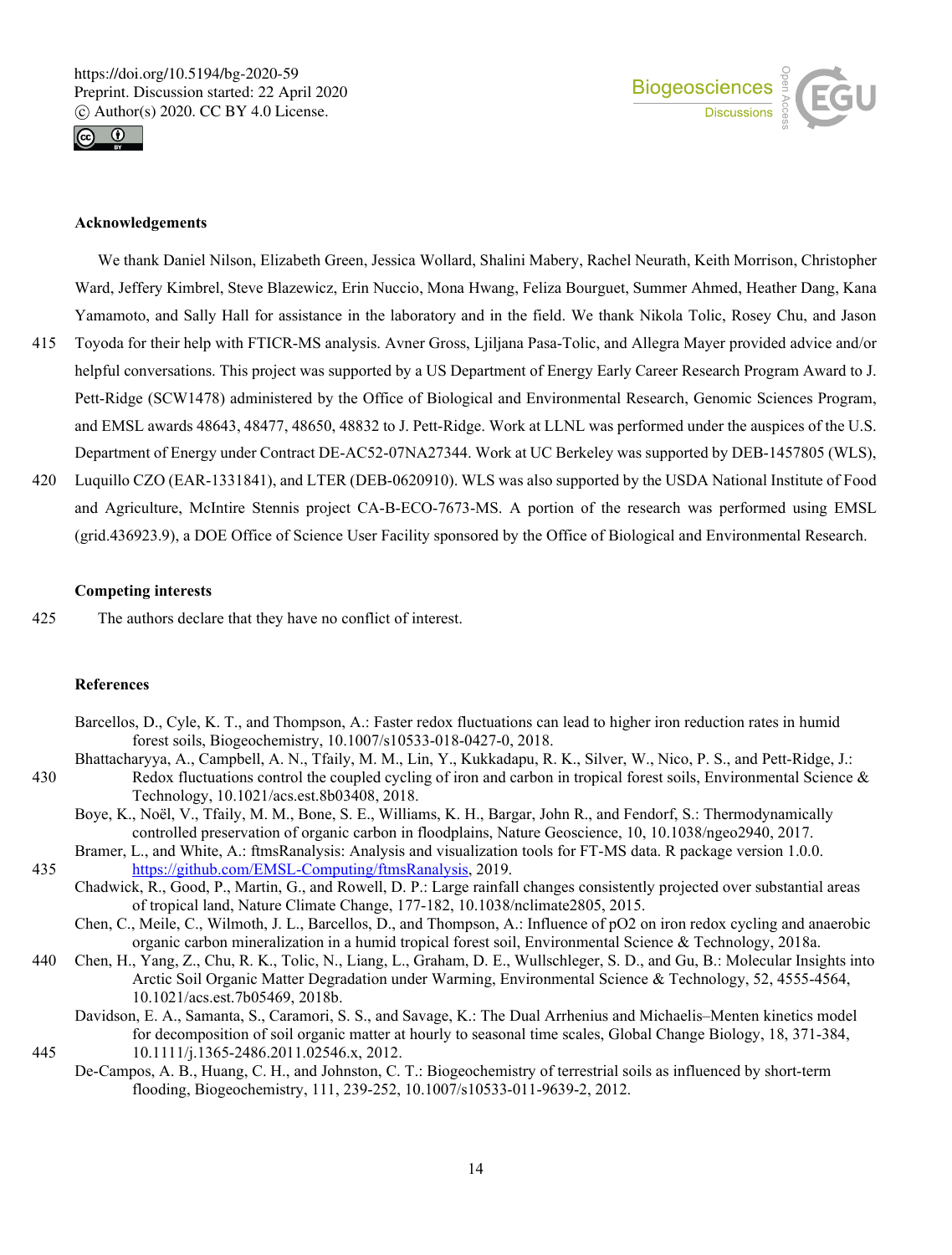



## **Acknowledgements**

We thank Daniel Nilson, Elizabeth Green, Jessica Wollard, Shalini Mabery, Rachel Neurath, Keith Morrison, Christopher Ward, Jeffery Kimbrel, Steve Blazewicz, Erin Nuccio, Mona Hwang, Feliza Bourguet, Summer Ahmed, Heather Dang, Kana Yamamoto, and Sally Hall for assistance in the laboratory and in the field. We thank Nikola Tolic, Rosey Chu, and Jason 415 Toyoda for their help with FTICR-MS analysis. Avner Gross, Ljiljana Pasa-Tolic, and Allegra Mayer provided advice and/or

- helpful conversations. This project was supported by a US Department of Energy Early Career Research Program Award to J. Pett-Ridge (SCW1478) administered by the Office of Biological and Environmental Research, Genomic Sciences Program, and EMSL awards 48643, 48477, 48650, 48832 to J. Pett-Ridge. Work at LLNL was performed under the auspices of the U.S. Department of Energy under Contract DE-AC52-07NA27344. Work at UC Berkeley was supported by DEB-1457805 (WLS),
- 420 Luquillo CZO (EAR-1331841), and LTER (DEB-0620910). WLS was also supported by the USDA National Institute of Food and Agriculture, McIntire Stennis project CA-B-ECO-7673-MS. A portion of the research was performed using EMSL (grid.436923.9), a DOE Office of Science User Facility sponsored by the Office of Biological and Environmental Research.

#### **Competing interests**

425 The authors declare that they have no conflict of interest.

## **References**

- Barcellos, D., Cyle, K. T., and Thompson, A.: Faster redox fluctuations can lead to higher iron reduction rates in humid forest soils, Biogeochemistry, 10.1007/s10533-018-0427-0, 2018.
- Bhattacharyya, A., Campbell, A. N., Tfaily, M. M., Lin, Y., Kukkadapu, R. K., Silver, W., Nico, P. S., and Pett-Ridge, J.: 430 Redox fluctuations control the coupled cycling of iron and carbon in tropical forest soils, Environmental Science & Technology, 10.1021/acs.est.8b03408, 2018.
	- Boye, K., Noël, V., Tfaily, M. M., Bone, S. E., Williams, K. H., Bargar, John R., and Fendorf, S.: Thermodynamically controlled preservation of organic carbon in floodplains, Nature Geoscience, 10, 10.1038/ngeo2940, 2017.
- Bramer, L., and White, A.: ftmsRanalysis: Analysis and visualization tools for FT-MS data. R package version 1.0.0. 435 https://github.com/EMSL-Computing/ftmsRanalysis, 2019.
	- Chadwick, R., Good, P., Martin, G., and Rowell, D. P.: Large rainfall changes consistently projected over substantial areas of tropical land, Nature Climate Change, 177-182, 10.1038/nclimate2805, 2015.
	- Chen, C., Meile, C., Wilmoth, J. L., Barcellos, D., and Thompson, A.: Influence of pO2 on iron redox cycling and anaerobic organic carbon mineralization in a humid tropical forest soil, Environmental Science & Technology, 2018a.
- 440 Chen, H., Yang, Z., Chu, R. K., Tolic, N., Liang, L., Graham, D. E., Wullschleger, S. D., and Gu, B.: Molecular Insights into Arctic Soil Organic Matter Degradation under Warming, Environmental Science & Technology, 52, 4555-4564, 10.1021/acs.est.7b05469, 2018b.
- Davidson, E. A., Samanta, S., Caramori, S. S., and Savage, K.: The Dual Arrhenius and Michaelis–Menten kinetics model for decomposition of soil organic matter at hourly to seasonal time scales, Global Change Biology, 18, 371-384, 445 10.1111/j.1365-2486.2011.02546.x, 2012.
	- De-Campos, A. B., Huang, C. H., and Johnston, C. T.: Biogeochemistry of terrestrial soils as influenced by short-term flooding, Biogeochemistry, 111, 239-252, 10.1007/s10533-011-9639-2, 2012.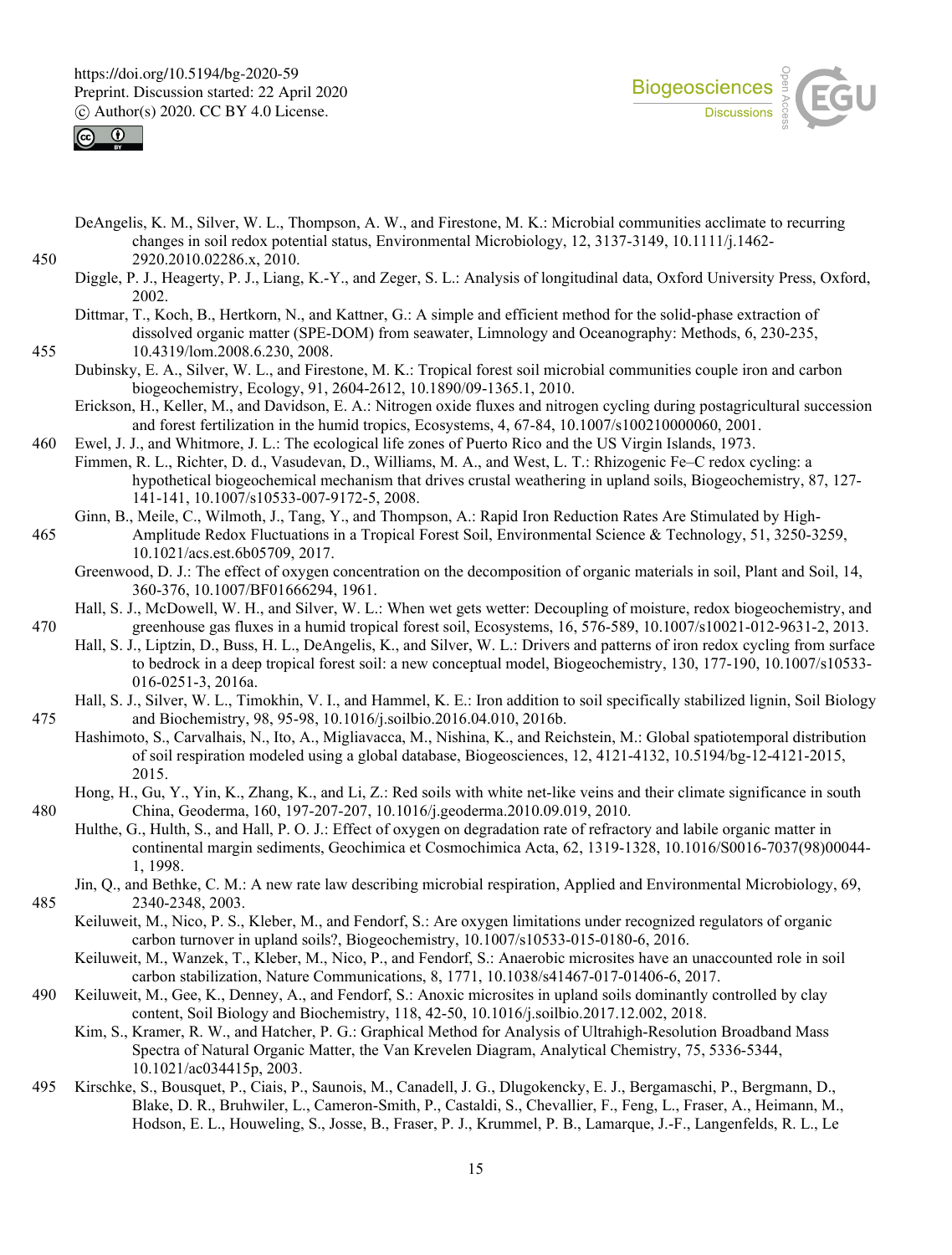



- DeAngelis, K. M., Silver, W. L., Thompson, A. W., and Firestone, M. K.: Microbial communities acclimate to recurring changes in soil redox potential status, Environmental Microbiology, 12, 3137-3149, 10.1111/j.1462- 450 2920.2010.02286.x, 2010.
	- Diggle, P. J., Heagerty, P. J., Liang, K.-Y., and Zeger, S. L.: Analysis of longitudinal data, Oxford University Press, Oxford, 2002.
- Dittmar, T., Koch, B., Hertkorn, N., and Kattner, G.: A simple and efficient method for the solid-phase extraction of dissolved organic matter (SPE-DOM) from seawater, Limnology and Oceanography: Methods, 6, 230-235, 455 10.4319/lom.2008.6.230, 2008.
	- Dubinsky, E. A., Silver, W. L., and Firestone, M. K.: Tropical forest soil microbial communities couple iron and carbon biogeochemistry, Ecology, 91, 2604-2612, 10.1890/09-1365.1, 2010.
	- Erickson, H., Keller, M., and Davidson, E. A.: Nitrogen oxide fluxes and nitrogen cycling during postagricultural succession and forest fertilization in the humid tropics, Ecosystems, 4, 67-84, 10.1007/s100210000060, 2001.
- 460 Ewel, J. J., and Whitmore, J. L.: The ecological life zones of Puerto Rico and the US Virgin Islands, 1973.
	- Fimmen, R. L., Richter, D. d., Vasudevan, D., Williams, M. A., and West, L. T.: Rhizogenic Fe–C redox cycling: a hypothetical biogeochemical mechanism that drives crustal weathering in upland soils, Biogeochemistry, 87, 127- 141-141, 10.1007/s10533-007-9172-5, 2008.
		- Ginn, B., Meile, C., Wilmoth, J., Tang, Y., and Thompson, A.: Rapid Iron Reduction Rates Are Stimulated by High-
- 465 Amplitude Redox Fluctuations in a Tropical Forest Soil, Environmental Science & Technology, 51, 3250-3259, 10.1021/acs.est.6b05709, 2017.
	- Greenwood, D. J.: The effect of oxygen concentration on the decomposition of organic materials in soil, Plant and Soil, 14, 360-376, 10.1007/BF01666294, 1961.
- Hall, S. J., McDowell, W. H., and Silver, W. L.: When wet gets wetter: Decoupling of moisture, redox biogeochemistry, and 470 greenhouse gas fluxes in a humid tropical forest soil, Ecosystems, 16, 576-589, 10.1007/s10021-012-9631-2, 2013.
- Hall, S. J., Liptzin, D., Buss, H. L., DeAngelis, K., and Silver, W. L.: Drivers and patterns of iron redox cycling from surface to bedrock in a deep tropical forest soil: a new conceptual model, Biogeochemistry, 130, 177-190, 10.1007/s10533- 016-0251-3, 2016a.
- Hall, S. J., Silver, W. L., Timokhin, V. I., and Hammel, K. E.: Iron addition to soil specifically stabilized lignin, Soil Biology 475 and Biochemistry, 98, 95-98, 10.1016/j.soilbio.2016.04.010, 2016b.
	- Hashimoto, S., Carvalhais, N., Ito, A., Migliavacca, M., Nishina, K., and Reichstein, M.: Global spatiotemporal distribution of soil respiration modeled using a global database, Biogeosciences, 12, 4121-4132, 10.5194/bg-12-4121-2015, 2015.
- Hong, H., Gu, Y., Yin, K., Zhang, K., and Li, Z.: Red soils with white net-like veins and their climate significance in south 480 China, Geoderma, 160, 197-207-207, 10.1016/j.geoderma.2010.09.019, 2010.
	- Hulthe, G., Hulth, S., and Hall, P. O. J.: Effect of oxygen on degradation rate of refractory and labile organic matter in continental margin sediments, Geochimica et Cosmochimica Acta, 62, 1319-1328, 10.1016/S0016-7037(98)00044- 1, 1998.
- Jin, Q., and Bethke, C. M.: A new rate law describing microbial respiration, Applied and Environmental Microbiology, 69, 485 2340-2348, 2003.
	- Keiluweit, M., Nico, P. S., Kleber, M., and Fendorf, S.: Are oxygen limitations under recognized regulators of organic carbon turnover in upland soils?, Biogeochemistry, 10.1007/s10533-015-0180-6, 2016.

Keiluweit, M., Wanzek, T., Kleber, M., Nico, P., and Fendorf, S.: Anaerobic microsites have an unaccounted role in soil carbon stabilization, Nature Communications, 8, 1771, 10.1038/s41467-017-01406-6, 2017.

- 490 Keiluweit, M., Gee, K., Denney, A., and Fendorf, S.: Anoxic microsites in upland soils dominantly controlled by clay content, Soil Biology and Biochemistry, 118, 42-50, 10.1016/j.soilbio.2017.12.002, 2018.
	- Kim, S., Kramer, R. W., and Hatcher, P. G.: Graphical Method for Analysis of Ultrahigh-Resolution Broadband Mass Spectra of Natural Organic Matter, the Van Krevelen Diagram, Analytical Chemistry, 75, 5336-5344, 10.1021/ac034415p, 2003.
- 495 Kirschke, S., Bousquet, P., Ciais, P., Saunois, M., Canadell, J. G., Dlugokencky, E. J., Bergamaschi, P., Bergmann, D., Blake, D. R., Bruhwiler, L., Cameron-Smith, P., Castaldi, S., Chevallier, F., Feng, L., Fraser, A., Heimann, M., Hodson, E. L., Houweling, S., Josse, B., Fraser, P. J., Krummel, P. B., Lamarque, J.-F., Langenfelds, R. L., Le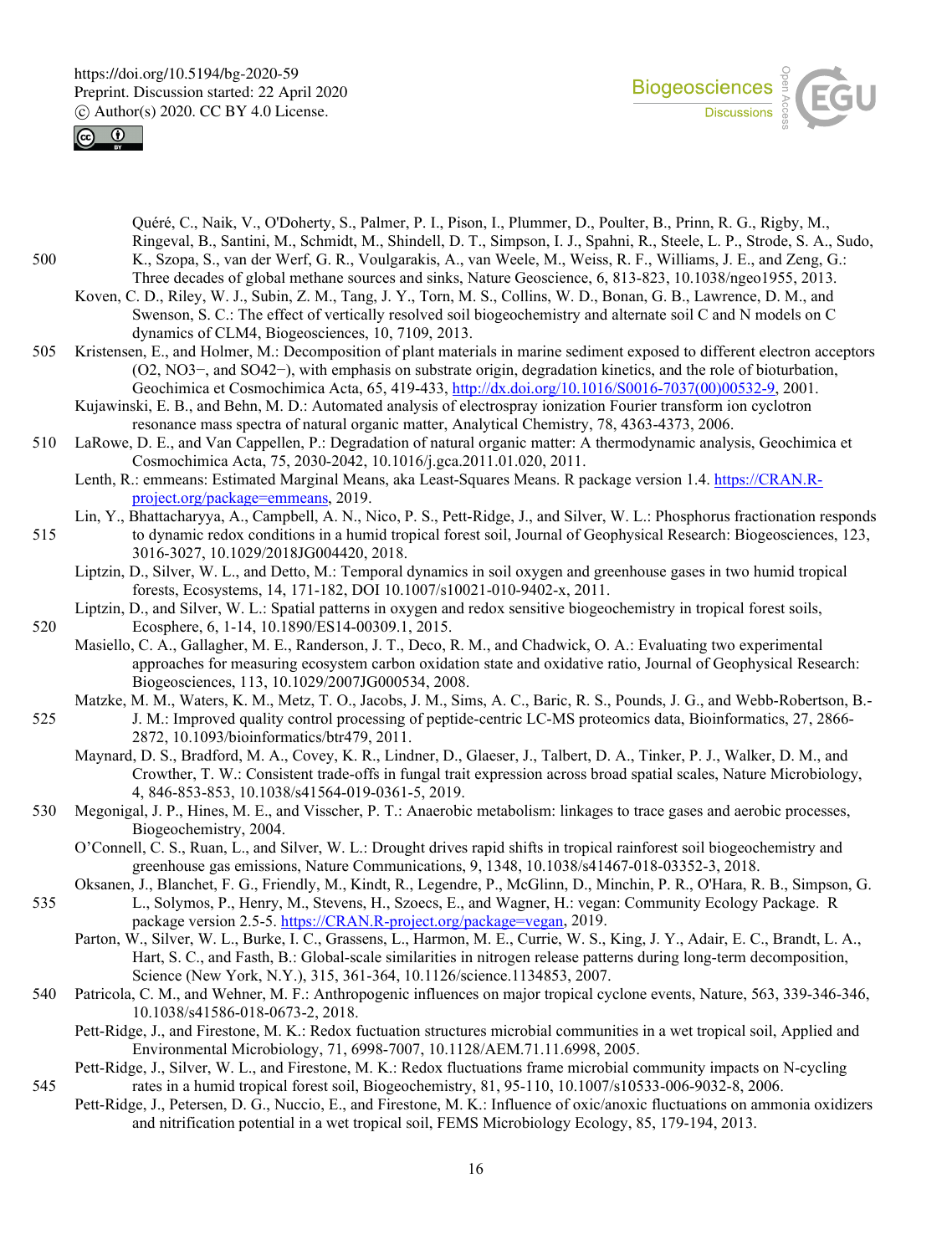



Quéré, C., Naik, V., O'Doherty, S., Palmer, P. I., Pison, I., Plummer, D., Poulter, B., Prinn, R. G., Rigby, M., Ringeval, B., Santini, M., Schmidt, M., Shindell, D. T., Simpson, I. J., Spahni, R., Steele, L. P., Strode, S. A., Sudo, 500 K., Szopa, S., van der Werf, G. R., Voulgarakis, A., van Weele, M., Weiss, R. F., Williams, J. E., and Zeng, G.: Three decades of global methane sources and sinks, Nature Geoscience, 6, 813-823, 10.1038/ngeo1955, 2013. Koven, C. D., Riley, W. J., Subin, Z. M., Tang, J. Y., Torn, M. S., Collins, W. D., Bonan, G. B., Lawrence, D. M., and Swenson, S. C.: The effect of vertically resolved soil biogeochemistry and alternate soil C and N models on C

dynamics of CLM4, Biogeosciences, 10, 7109, 2013.

- 505 Kristensen, E., and Holmer, M.: Decomposition of plant materials in marine sediment exposed to different electron acceptors (O2, NO3−, and SO42−), with emphasis on substrate origin, degradation kinetics, and the role of bioturbation, Geochimica et Cosmochimica Acta, 65, 419-433, http://dx.doi.org/10.1016/S0016-7037(00)00532-9, 2001.
	- Kujawinski, E. B., and Behn, M. D.: Automated analysis of electrospray ionization Fourier transform ion cyclotron resonance mass spectra of natural organic matter, Analytical Chemistry, 78, 4363-4373, 2006.
- 510 LaRowe, D. E., and Van Cappellen, P.: Degradation of natural organic matter: A thermodynamic analysis, Geochimica et Cosmochimica Acta, 75, 2030-2042, 10.1016/j.gca.2011.01.020, 2011.

Lenth, R.: emmeans: Estimated Marginal Means, aka Least-Squares Means. R package version 1.4. https://CRAN.Rproject.org/package=emmeans, 2019.

- Lin, Y., Bhattacharyya, A., Campbell, A. N., Nico, P. S., Pett-Ridge, J., and Silver, W. L.: Phosphorus fractionation responds 515 to dynamic redox conditions in a humid tropical forest soil, Journal of Geophysical Research: Biogeosciences, 123, 3016-3027, 10.1029/2018JG004420, 2018.
	- Liptzin, D., Silver, W. L., and Detto, M.: Temporal dynamics in soil oxygen and greenhouse gases in two humid tropical forests, Ecosystems, 14, 171-182, DOI 10.1007/s10021-010-9402-x, 2011.
- Liptzin, D., and Silver, W. L.: Spatial patterns in oxygen and redox sensitive biogeochemistry in tropical forest soils, 520 Ecosphere, 6, 1-14, 10.1890/ES14-00309.1, 2015.
- Masiello, C. A., Gallagher, M. E., Randerson, J. T., Deco, R. M., and Chadwick, O. A.: Evaluating two experimental approaches for measuring ecosystem carbon oxidation state and oxidative ratio, Journal of Geophysical Research: Biogeosciences, 113, 10.1029/2007JG000534, 2008.
- Matzke, M. M., Waters, K. M., Metz, T. O., Jacobs, J. M., Sims, A. C., Baric, R. S., Pounds, J. G., and Webb-Robertson, B.- 525 J. M.: Improved quality control processing of peptide-centric LC-MS proteomics data, Bioinformatics, 27, 2866- 2872, 10.1093/bioinformatics/btr479, 2011.
	- Maynard, D. S., Bradford, M. A., Covey, K. R., Lindner, D., Glaeser, J., Talbert, D. A., Tinker, P. J., Walker, D. M., and Crowther, T. W.: Consistent trade-offs in fungal trait expression across broad spatial scales, Nature Microbiology, 4, 846-853-853, 10.1038/s41564-019-0361-5, 2019.
- 530 Megonigal, J. P., Hines, M. E., and Visscher, P. T.: Anaerobic metabolism: linkages to trace gases and aerobic processes, Biogeochemistry, 2004.
	- O'Connell, C. S., Ruan, L., and Silver, W. L.: Drought drives rapid shifts in tropical rainforest soil biogeochemistry and greenhouse gas emissions, Nature Communications, 9, 1348, 10.1038/s41467-018-03352-3, 2018.
- Oksanen, J., Blanchet, F. G., Friendly, M., Kindt, R., Legendre, P., McGlinn, D., Minchin, P. R., O'Hara, R. B., Simpson, G. 535 L., Solymos, P., Henry, M., Stevens, H., Szoecs, E., and Wagner, H.: vegan: Community Ecology Package. R package version 2.5-5. https://CRAN.R-project.org/package=vegan, 2019.
	- Parton, W., Silver, W. L., Burke, I. C., Grassens, L., Harmon, M. E., Currie, W. S., King, J. Y., Adair, E. C., Brandt, L. A., Hart, S. C., and Fasth, B.: Global-scale similarities in nitrogen release patterns during long-term decomposition, Science (New York, N.Y.), 315, 361-364, 10.1126/science.1134853, 2007.
- 540 Patricola, C. M., and Wehner, M. F.: Anthropogenic influences on major tropical cyclone events, Nature, 563, 339-346-346, 10.1038/s41586-018-0673-2, 2018.
	- Pett-Ridge, J., and Firestone, M. K.: Redox fuctuation structures microbial communities in a wet tropical soil, Applied and Environmental Microbiology, 71, 6998-7007, 10.1128/AEM.71.11.6998, 2005.
- Pett-Ridge, J., Silver, W. L., and Firestone, M. K.: Redox fluctuations frame microbial community impacts on N-cycling 545 rates in a humid tropical forest soil, Biogeochemistry, 81, 95-110, 10.1007/s10533-006-9032-8, 2006.
	- Pett-Ridge, J., Petersen, D. G., Nuccio, E., and Firestone, M. K.: Influence of oxic/anoxic fluctuations on ammonia oxidizers and nitrification potential in a wet tropical soil, FEMS Microbiology Ecology, 85, 179-194, 2013.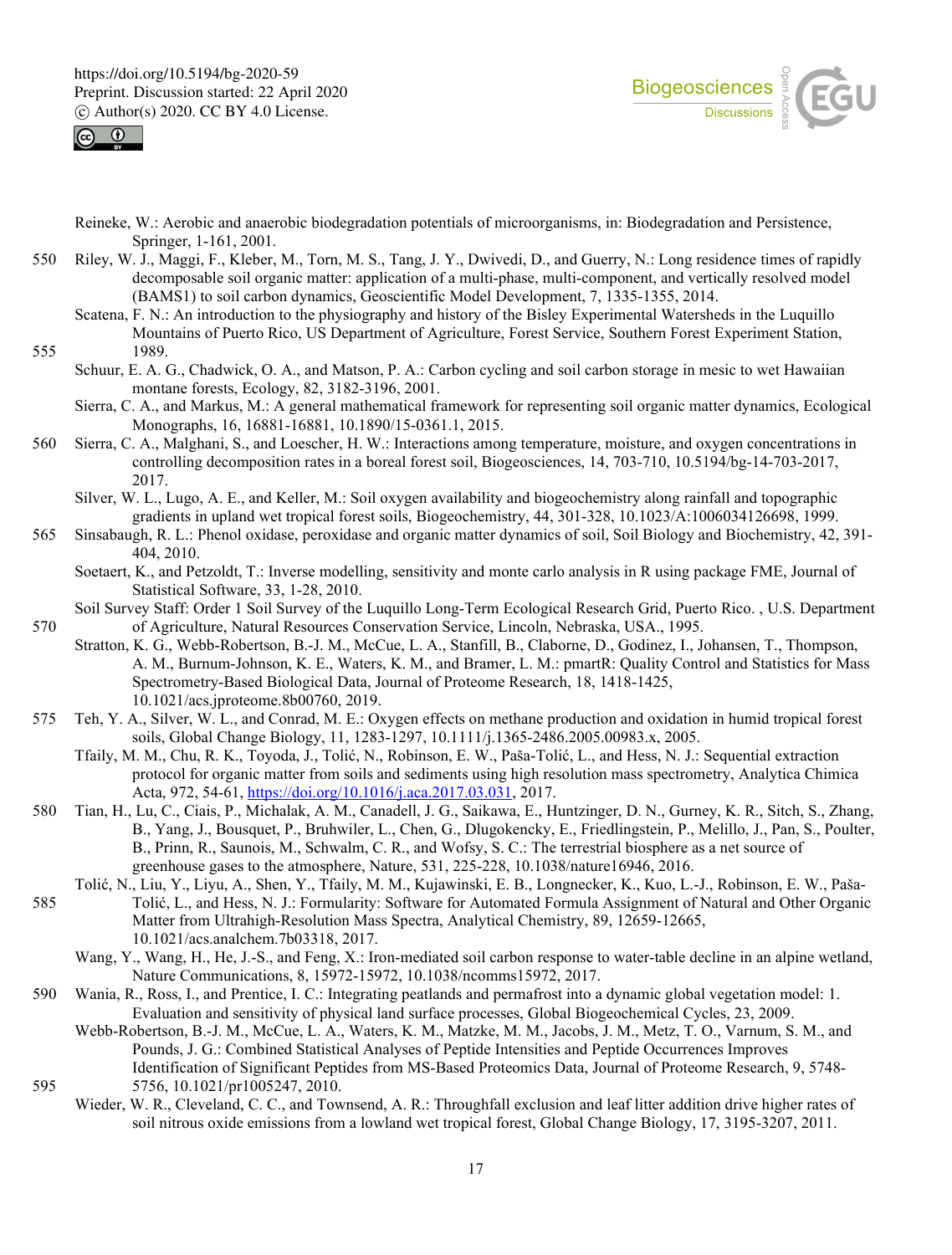



- Reineke, W.: Aerobic and anaerobic biodegradation potentials of microorganisms, in: Biodegradation and Persistence, Springer, 1-161, 2001.
- 550 Riley, W. J., Maggi, F., Kleber, M., Torn, M. S., Tang, J. Y., Dwivedi, D., and Guerry, N.: Long residence times of rapidly decomposable soil organic matter: application of a multi-phase, multi-component, and vertically resolved model (BAMS1) to soil carbon dynamics, Geoscientific Model Development, 7, 1335-1355, 2014.
- Scatena, F. N.: An introduction to the physiography and history of the Bisley Experimental Watersheds in the Luquillo Mountains of Puerto Rico, US Department of Agriculture, Forest Service, Southern Forest Experiment Station, 555 1989.
	- Schuur, E. A. G., Chadwick, O. A., and Matson, P. A.: Carbon cycling and soil carbon storage in mesic to wet Hawaiian montane forests, Ecology, 82, 3182-3196, 2001.
	- Sierra, C. A., and Markus, M.: A general mathematical framework for representing soil organic matter dynamics, Ecological Monographs, 16, 16881-16881, 10.1890/15-0361.1, 2015.
- 560 Sierra, C. A., Malghani, S., and Loescher, H. W.: Interactions among temperature, moisture, and oxygen concentrations in controlling decomposition rates in a boreal forest soil, Biogeosciences, 14, 703-710, 10.5194/bg-14-703-2017, 2017.
	- Silver, W. L., Lugo, A. E., and Keller, M.: Soil oxygen availability and biogeochemistry along rainfall and topographic gradients in upland wet tropical forest soils, Biogeochemistry, 44, 301-328, 10.1023/A:1006034126698, 1999.
- 565 Sinsabaugh, R. L.: Phenol oxidase, peroxidase and organic matter dynamics of soil, Soil Biology and Biochemistry, 42, 391- 404, 2010.
	- Soetaert, K., and Petzoldt, T.: Inverse modelling, sensitivity and monte carlo analysis in R using package FME, Journal of Statistical Software, 33, 1-28, 2010.
- Soil Survey Staff: Order 1 Soil Survey of the Luquillo Long-Term Ecological Research Grid, Puerto Rico. , U.S. Department 570 of Agriculture, Natural Resources Conservation Service, Lincoln, Nebraska, USA., 1995.
- Stratton, K. G., Webb-Robertson, B.-J. M., McCue, L. A., Stanfill, B., Claborne, D., Godinez, I., Johansen, T., Thompson, A. M., Burnum-Johnson, K. E., Waters, K. M., and Bramer, L. M.: pmartR: Quality Control and Statistics for Mass Spectrometry-Based Biological Data, Journal of Proteome Research, 18, 1418-1425, 10.1021/acs.jproteome.8b00760, 2019.
- 575 Teh, Y. A., Silver, W. L., and Conrad, M. E.: Oxygen effects on methane production and oxidation in humid tropical forest soils, Global Change Biology, 11, 1283-1297, 10.1111/j.1365-2486.2005.00983.x, 2005.
	- Tfaily, M. M., Chu, R. K., Toyoda, J., Tolić, N., Robinson, E. W., Paša-Tolić, L., and Hess, N. J.: Sequential extraction protocol for organic matter from soils and sediments using high resolution mass spectrometry, Analytica Chimica Acta, 972, 54-61, https://doi.org/10.1016/j.aca.2017.03.031, 2017.
- 580 Tian, H., Lu, C., Ciais, P., Michalak, A. M., Canadell, J. G., Saikawa, E., Huntzinger, D. N., Gurney, K. R., Sitch, S., Zhang, B., Yang, J., Bousquet, P., Bruhwiler, L., Chen, G., Dlugokencky, E., Friedlingstein, P., Melillo, J., Pan, S., Poulter, B., Prinn, R., Saunois, M., Schwalm, C. R., and Wofsy, S. C.: The terrestrial biosphere as a net source of greenhouse gases to the atmosphere, Nature, 531, 225-228, 10.1038/nature16946, 2016.
- Tolić, N., Liu, Y., Liyu, A., Shen, Y., Tfaily, M. M., Kujawinski, E. B., Longnecker, K., Kuo, L.-J., Robinson, E. W., Paša-585 Tolić, L., and Hess, N. J.: Formularity: Software for Automated Formula Assignment of Natural and Other Organic Matter from Ultrahigh-Resolution Mass Spectra, Analytical Chemistry, 89, 12659-12665, 10.1021/acs.analchem.7b03318, 2017.
	- Wang, Y., Wang, H., He, J.-S., and Feng, X.: Iron-mediated soil carbon response to water-table decline in an alpine wetland, Nature Communications, 8, 15972-15972, 10.1038/ncomms15972, 2017.
- 590 Wania, R., Ross, I., and Prentice, I. C.: Integrating peatlands and permafrost into a dynamic global vegetation model: 1. Evaluation and sensitivity of physical land surface processes, Global Biogeochemical Cycles, 23, 2009.
- Webb-Robertson, B.-J. M., McCue, L. A., Waters, K. M., Matzke, M. M., Jacobs, J. M., Metz, T. O., Varnum, S. M., and Pounds, J. G.: Combined Statistical Analyses of Peptide Intensities and Peptide Occurrences Improves Identification of Significant Peptides from MS-Based Proteomics Data, Journal of Proteome Research, 9, 5748- 595 5756, 10.1021/pr1005247, 2010.
	- Wieder, W. R., Cleveland, C. C., and Townsend, A. R.: Throughfall exclusion and leaf litter addition drive higher rates of soil nitrous oxide emissions from a lowland wet tropical forest, Global Change Biology, 17, 3195-3207, 2011.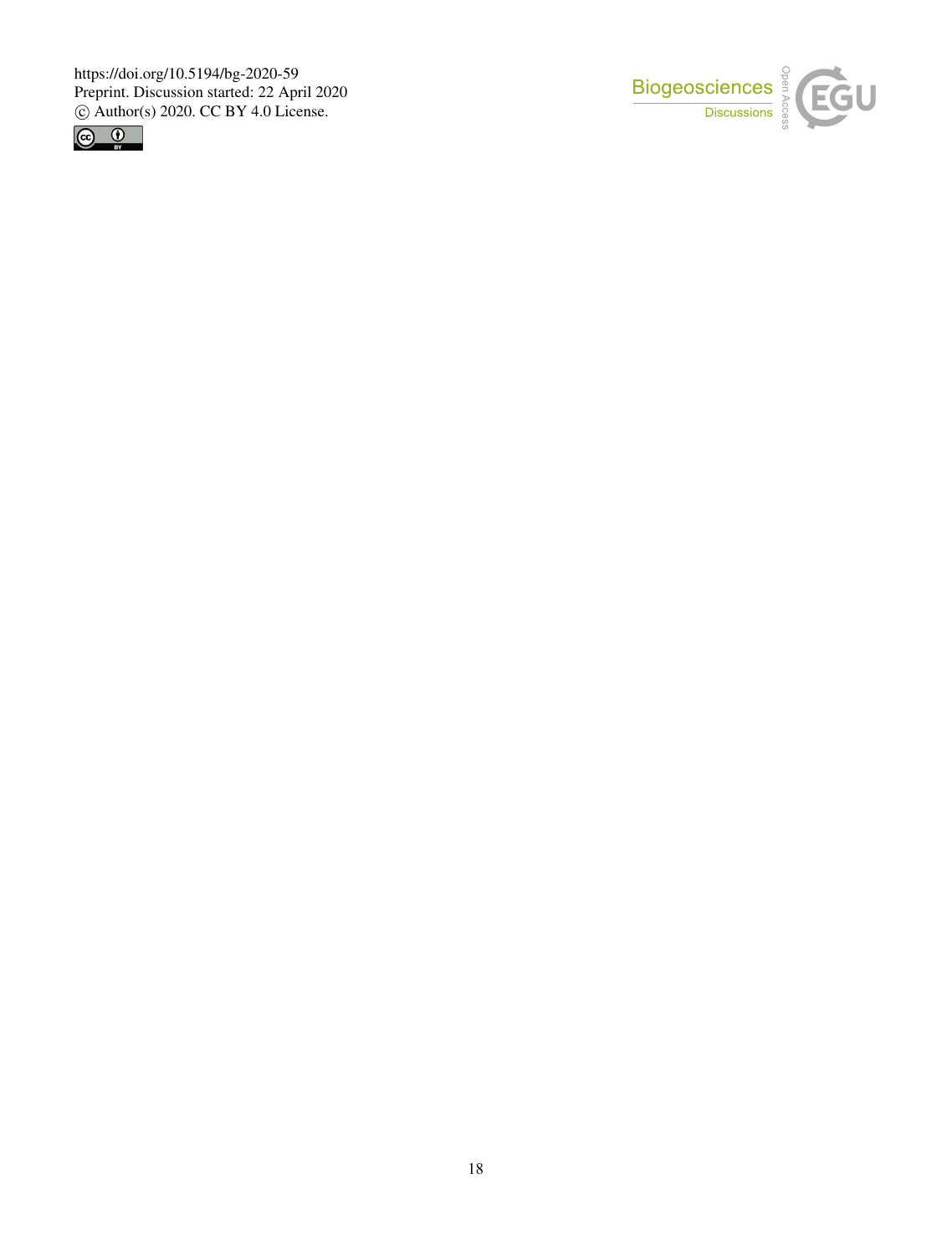

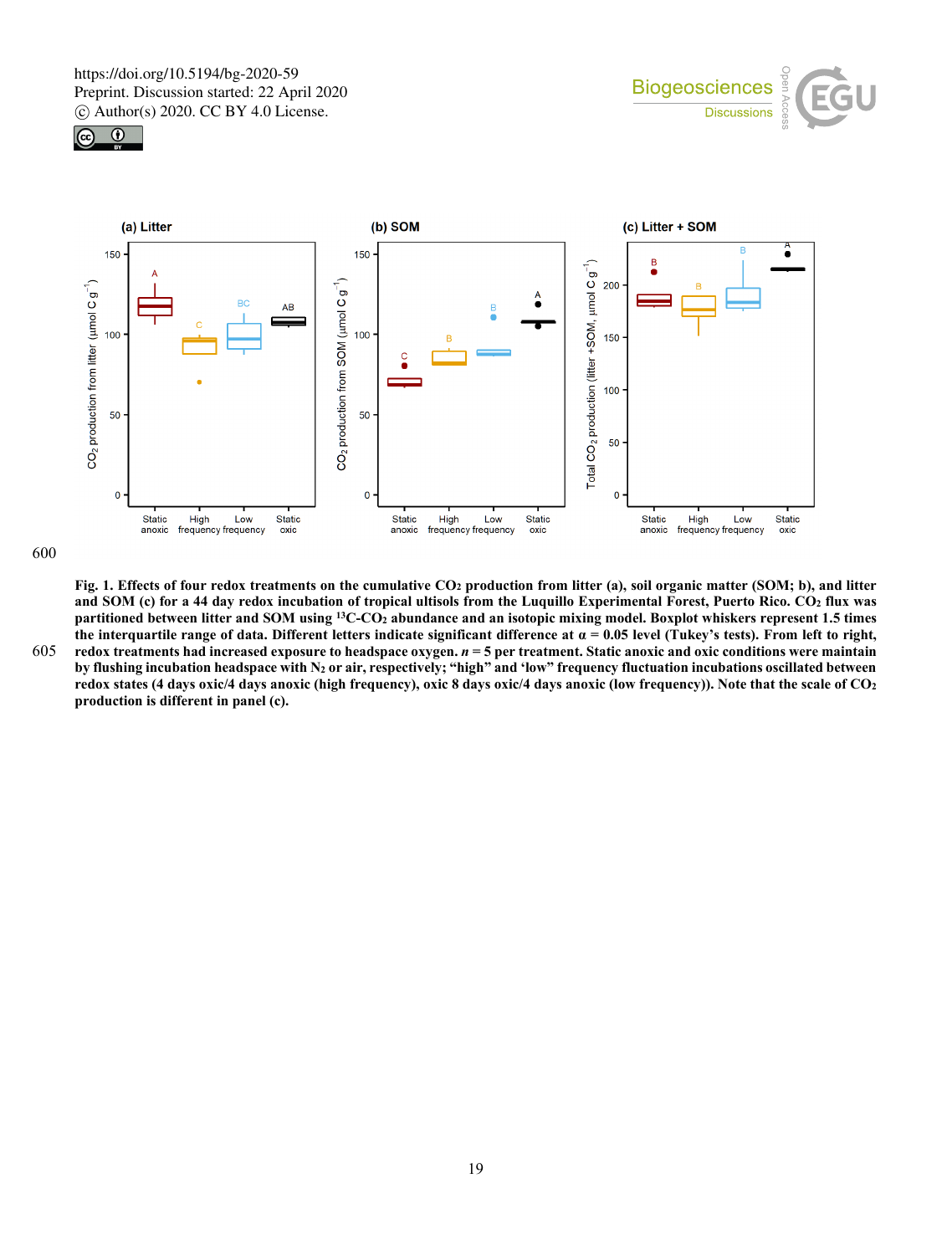





600

Fig. 1. Effects of four redox treatments on the cumulative CO<sub>2</sub> production from litter (a), soil organic matter (SOM; b), and litter **and SOM (c) for a 44 day redox incubation of tropical ultisols from the Luquillo Experimental Forest, Puerto Rico. CO2 flux was partitioned between litter and SOM using 13C-CO2 abundance and an isotopic mixing model. Boxplot whiskers represent 1.5 times the interquartile range of data. Different letters indicate significant difference at α = 0.05 level (Tukey's tests). From left to right,**  605 **redox treatments had increased exposure to headspace oxygen.** *n* **= 5 per treatment. Static anoxic and oxic conditions were maintain by flushing incubation headspace with N2 or air, respectively; "high" and 'low" frequency fluctuation incubations oscillated between redox states (4 days oxic/4 days anoxic (high frequency), oxic 8 days oxic/4 days anoxic (low frequency)). Note that the scale of CO2 production is different in panel (c).**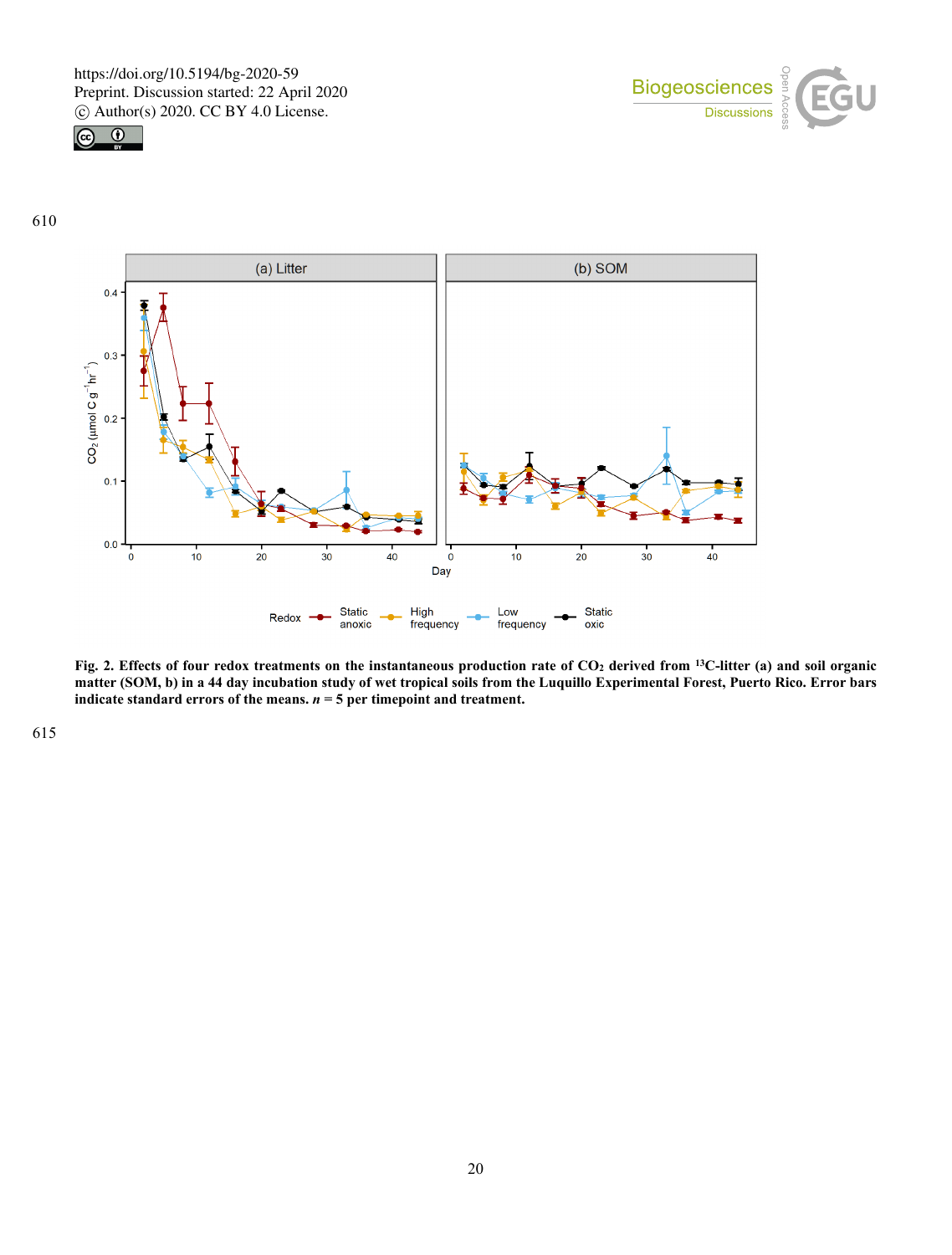



610



Fig. 2. Effects of four redox treatments on the instantaneous production rate of CO<sub>2</sub> derived from <sup>13</sup>C-litter (a) and soil organic **matter (SOM, b) in a 44 day incubation study of wet tropical soils from the Luquillo Experimental Forest, Puerto Rico. Error bars indicate standard errors of the means.**  $n = 5$  per timepoint and treatment.

615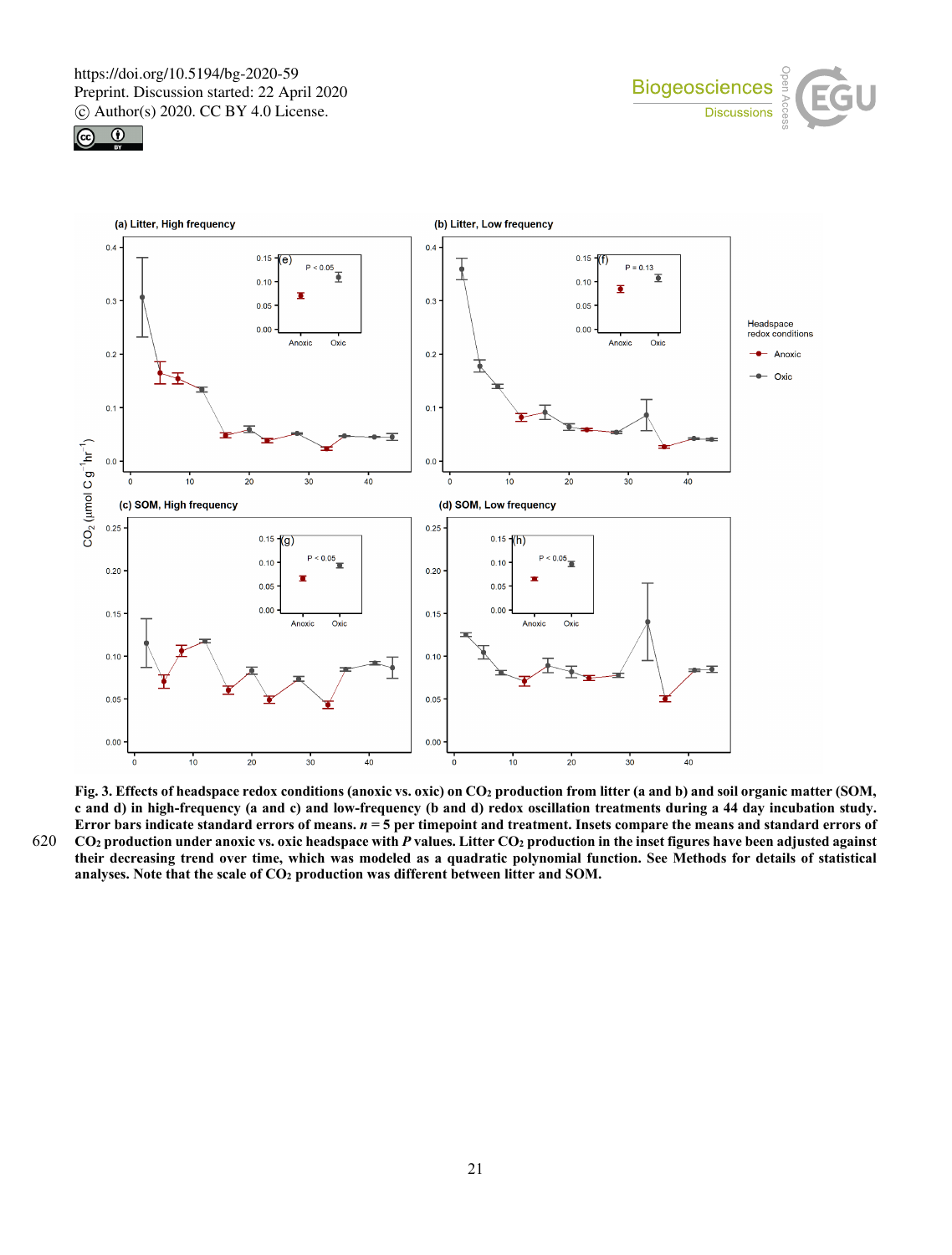





**Fig. 3. Effects of headspace redox conditions (anoxic vs. oxic) on CO2 production from litter (a and b) and soil organic matter (SOM, c and d) in high-frequency (a and c) and low-frequency (b and d) redox oscillation treatments during a 44 day incubation study. Error bars indicate standard errors of means.** *n* **= 5 per timepoint and treatment. Insets compare the means and standard errors of**  620 **CO2 production under anoxic vs. oxic headspace with** *P* **values. Litter CO2 production in the inset figures have been adjusted against their decreasing trend over time, which was modeled as a quadratic polynomial function. See Methods for details of statistical analyses. Note that the scale of CO2 production was different between litter and SOM.**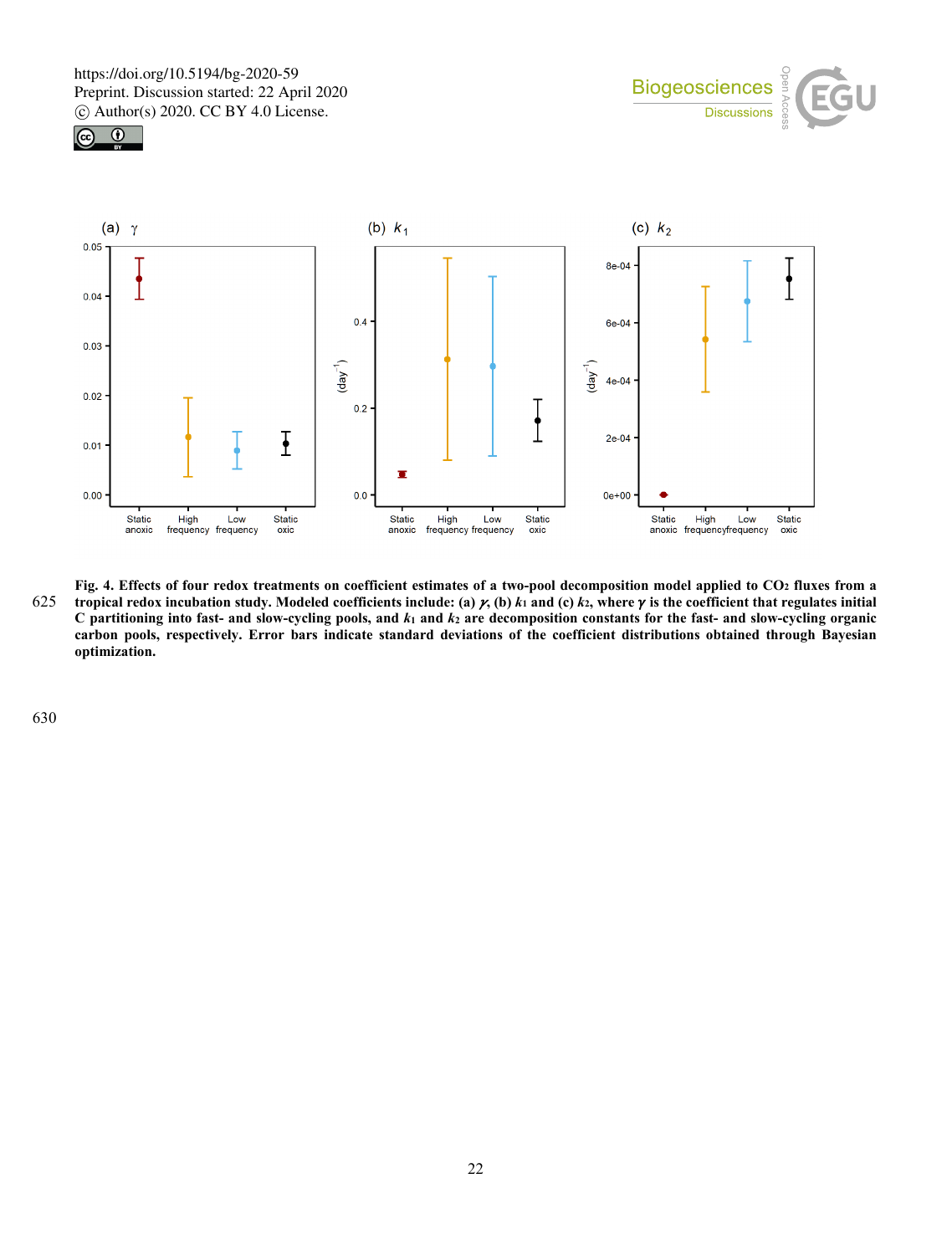





**Fig. 4. Effects of four redox treatments on coefficient estimates of a two-pool decomposition model applied to CO2 fluxes from a**  625 tropical redox incubation study. Modeled coefficients include: (a)  $\chi$ , (b)  $k_1$  and (c)  $k_2$ , where  $\gamma$  is the coefficient that regulates initial **C partitioning into fast- and slow-cycling pools, and** *k***<sup>1</sup> and** *k***<sup>2</sup> are decomposition constants for the fast- and slow-cycling organic carbon pools, respectively. Error bars indicate standard deviations of the coefficient distributions obtained through Bayesian optimization.** 

630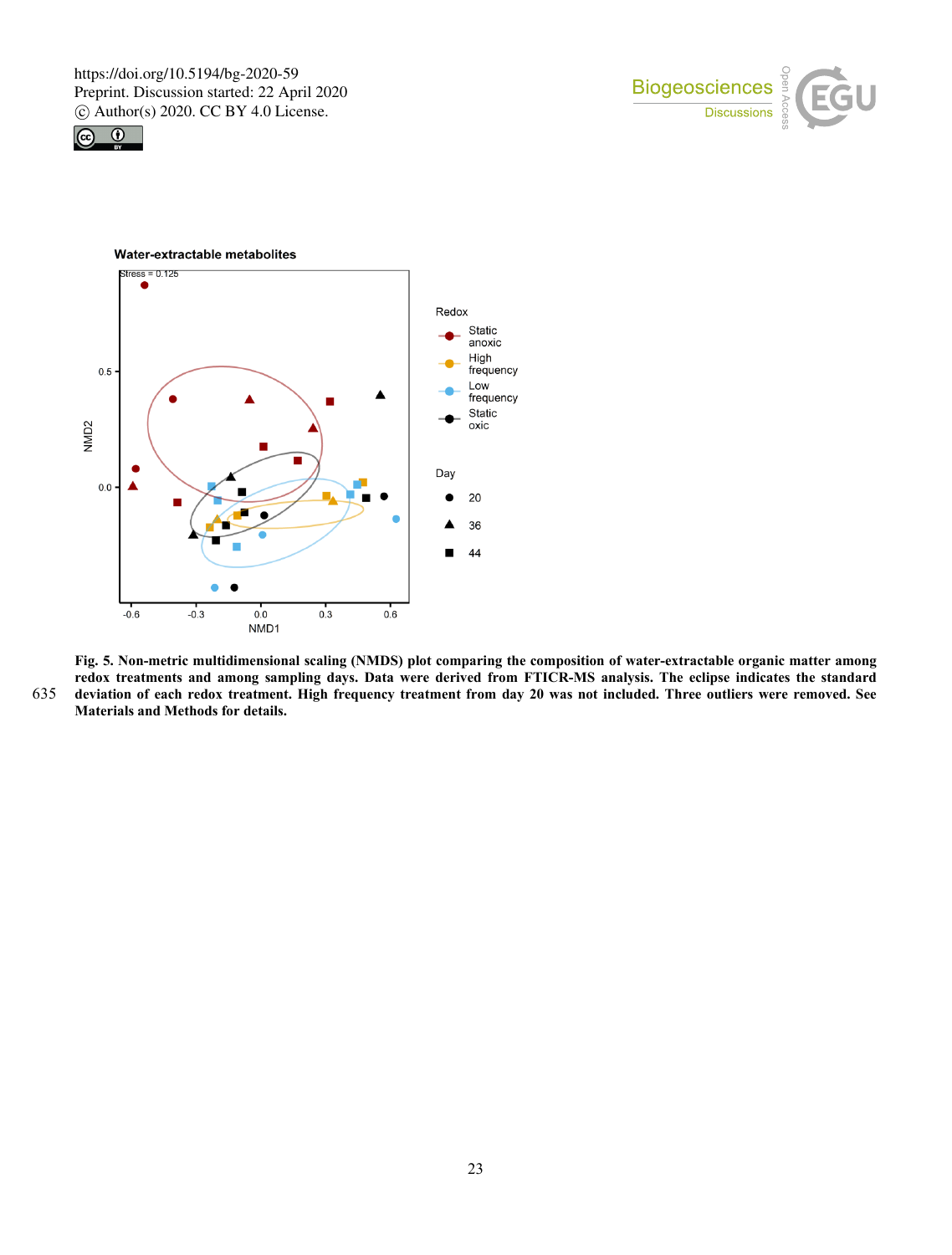





**Fig. 5. Non-metric multidimensional scaling (NMDS) plot comparing the composition of water-extractable organic matter among redox treatments and among sampling days. Data were derived from FTICR-MS analysis. The eclipse indicates the standard**  635 **deviation of each redox treatment. High frequency treatment from day 20 was not included. Three outliers were removed. See Materials and Methods for details.**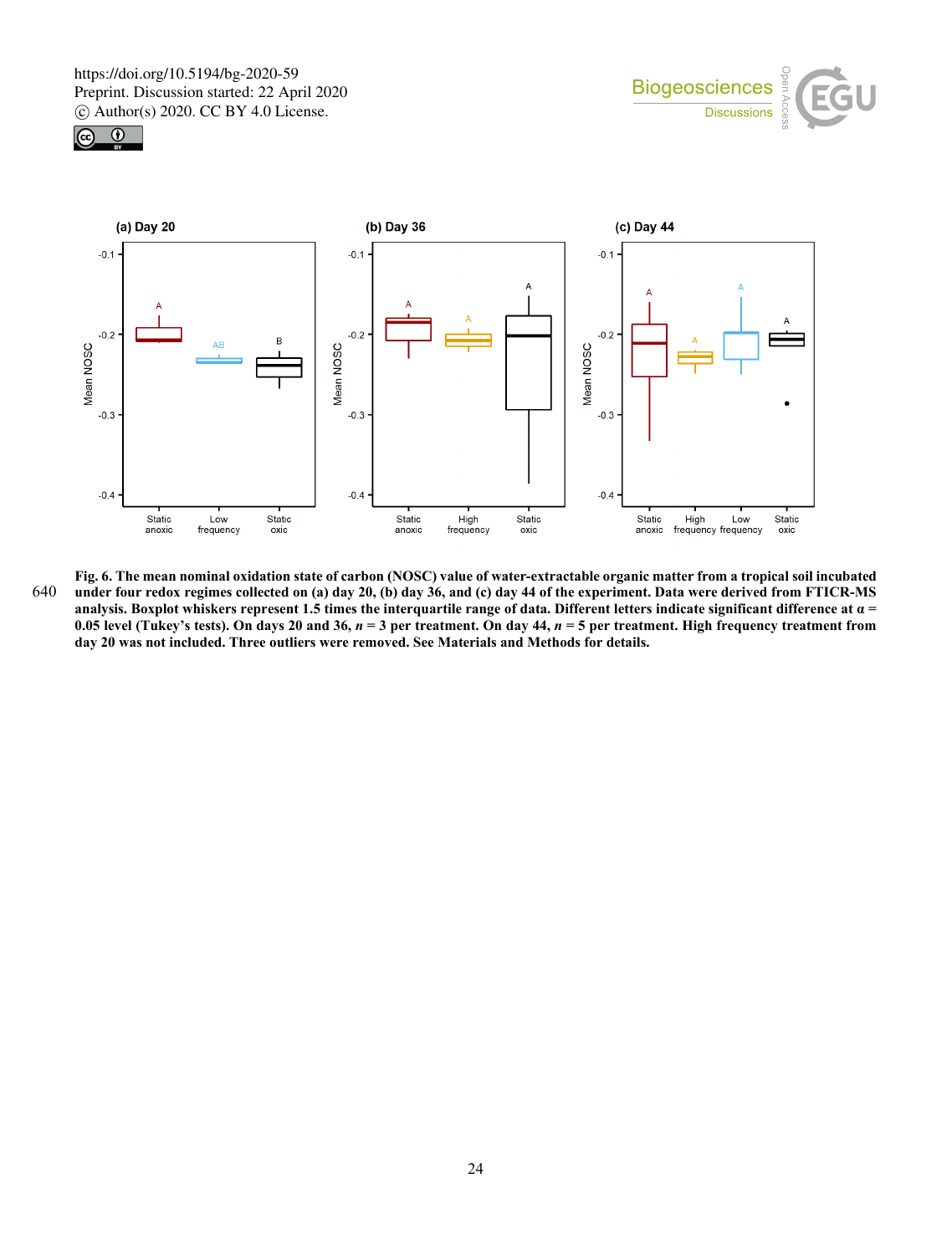





**Fig. 6. The mean nominal oxidation state of carbon (NOSC) value of water-extractable organic matter from a tropical soil incubated**  640 **under four redox regimes collected on (a) day 20, (b) day 36, and (c) day 44 of the experiment. Data were derived from FTICR-MS analysis. Boxplot whiskers represent 1.5 times the interquartile range of data. Different letters indicate significant difference at α = 0.05 level (Tukey's tests). On days 20 and 36,**  $n = 3$  **per treatment. On day 44,**  $n = 5$  **per treatment. High frequency treatment from day 20 was not included. Three outliers were removed. See Materials and Methods for details.**